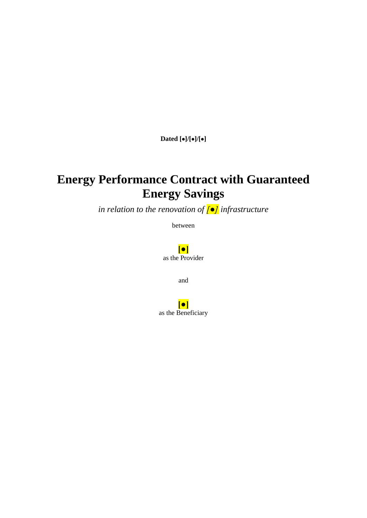**Dated []/[]/[]**

# **Energy Performance Contract with Guaranteed Energy Savings**

*in relation to the renovation of [●] infrastructure*

between

**[●]** as the Provider

and

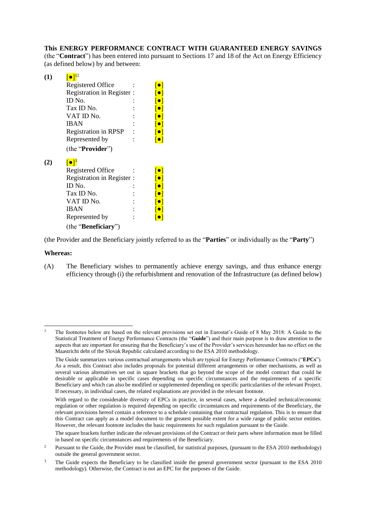#### **This ENERGY PERFORMANCE CONTRACT WITH GUARANTEED ENERGY SAVINGS**

(the "**Contract**") has been entered into pursuant to Sections 17 and 18 of the Act on Energy Efficiency (as defined below) by and between:

| (1) | $\lceil\bullet\rceil^{12}$  |                         |
|-----|-----------------------------|-------------------------|
|     | Registered Office           | $\lceil \bullet \rceil$ |
|     | Registration in Register :  | $\lceil \bullet \rceil$ |
|     | ID No.                      | $\lceil \bullet \rceil$ |
|     | Tax ID No.                  | $\lceil \bullet \rceil$ |
|     | VAT ID No.                  | $\lceil \bullet \rceil$ |
|     | <b>IBAN</b>                 | $\lceil \bullet \rceil$ |
|     | <b>Registration in RPSP</b> | $\lceil \bullet \rceil$ |
|     | Represented by              | $\lceil \bullet \rceil$ |
|     | (the "Provider")            |                         |
| (2) | $\lceil \bullet \rceil^3$   |                         |
|     | Registered Office           | $\lceil \bullet \rceil$ |
|     | Registration in Register :  | $\lceil \bullet \rceil$ |
|     | ID No.                      | $\lceil \bullet \rceil$ |
|     | Tax ID No.                  | $\lceil \bullet \rceil$ |
|     | VAT ID No.                  | $\lceil \bullet \rceil$ |
|     | <b>IBAN</b>                 | $\lceil \bullet \rceil$ |
|     | Represented by              | $  \bullet  $           |
|     | (the "Beneficiary")         |                         |

(the Provider and the Beneficiary jointly referred to as the "**Parties**" or individually as the "**Party**")

#### **Whereas:**

-

(A) The Beneficiary wishes to permanently achieve energy savings, and thus enhance energy efficiency through (i) the refurbishment and renovation of the Infrastructure (as defined below)

<sup>1</sup> The footnotes below are based on the relevant provisions set out in Eurostat's Guide of 8 May 2018: A Guide to the Statistical Treatment of Energy Performance Contracts (the "**Guide**") and their main purpose is to draw attention to the aspects that are important for ensuring that the Beneficiary's use of the Provider's services hereunder has no effect on the Maastricht debt of the Slovak Republic calculated according to the ESA 2010 methodology.

The Guide summarizes various contractual arrangements which are typical for Energy Performance Contracts ("**EPCs**"). As a result, this Contract also includes proposals for potential different arrangements or other mechanisms, as well as several various alternatives set out in square brackets that go beyond the scope of the model contract that could be desirable or applicable in specific cases depending on specific circumstances and the requirements of a specific Beneficiary and which can also be modified or supplemented depending on specific particularities of the relevant Project. If necessary, in individual cases, the related explanations are provided in the relevant footnote.

With regard to the considerable diversity of EPCs in practice, in several cases, where a detailed technical/economic regulation or other regulation is required depending on specific circumstances and requirements of the Beneficiary, the relevant provisions hereof contain a reference to a schedule containing that contractual regulation. This is to ensure that this Contract can apply as a model document to the greatest possible extent for a wide range of public sector entities. However, the relevant footnote includes the basic requirements for such regulation pursuant to the Guide.

The square brackets further indicate the relevant provisions of the Contract or their parts where information must be filled in based on specific circumstances and requirements of the Beneficiary.

<sup>&</sup>lt;sup>2</sup> Pursuant to the Guide, the Provider must be classified, for statistical purposes, (pursuant to the ESA 2010 methodology) outside the general government sector.

<sup>3</sup> The Guide expects the Beneficiary to be classified inside the general government sector (pursuant to the ESA 2010 methodology). Otherwise, the Contract is not an EPC for the purposes of the Guide.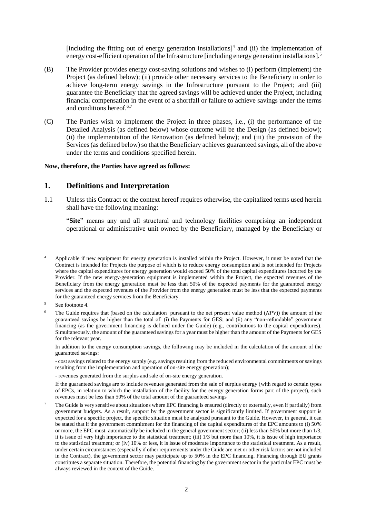<span id="page-2-0"></span>[including the fitting out of energy generation installations]<sup>4</sup> and (ii) the implementation of energy cost-efficient operation of the Infrastructure [including energy generation installations].<sup>5</sup>

- (B) The Provider provides energy cost-saving solutions and wishes to (i) perform (implement) the Project (as defined below); (ii) provide other necessary services to the Beneficiary in order to achieve long-term energy savings in the Infrastructure pursuant to the Project; and (iii) guarantee the Beneficiary that the agreed savings will be achieved under the Project, including financial compensation in the event of a shortfall or failure to achieve savings under the terms and conditions hereof. 6,7
- (C) The Parties wish to implement the Project in three phases, i.e., (i) the performance of the Detailed Analysis (as defined below) whose outcome will be the Design (as defined below); (ii) the implementation of the Renovation (as defined below); and (iii) the provision of the Services (as defined below) so that the Beneficiary achieves guaranteed savings, all of the above under the terms and conditions specified herein.

#### **Now, therefore, the Parties have agreed as follows:**

### **1. Definitions and Interpretation**

1.1 Unless this Contract or the context hereof requires otherwise, the capitalized terms used herein shall have the following meaning:

"**Site**" means any and all structural and technology facilities comprising an independent operational or administrative unit owned by the Beneficiary, managed by the Beneficiary or

-

- cost savings related to the energy supply (e.g. savings resulting from the reduced environmental commitments or savings resulting from the implementation and operation of on-site energy generation);

<sup>4</sup> Applicable if new equipment for energy generation is installed within the Project. However, it must be noted that the Contract is intended for Projects the purpose of which is to reduce energy consumption and is not intended for Projects where the capital expenditures for energy generation would exceed 50% of the total capital expenditures incurred by the Provider. If the new energy-generation equipment is implemented within the Project, the expected revenues of the Beneficiary from the energy generation must be less than 50% of the expected payments for the guaranteed energy services and the expected revenues of the Provider from the energy generation must be less that the expected payments for the guaranteed energy services from the Beneficiary.

<sup>5</sup> See footnote [4.](#page-2-0)

<sup>6</sup> The Guide requires that (based on the calculation pursuant to the net present value method (*NPV*)) the amount of the guaranteed savings be higher than the total of: (i) the Payments for GES; and (ii) any "non-refundable" government financing (as the government financing is defined under the Guide) (e.g., contributions to the capital expenditures). Simultaneously, the amount of the guaranteed savings for a year must be higher than the amount of the Payments for GES for the relevant year.

In addition to the energy consumption savings, the following may be included in the calculation of the amount of the guaranteed savings:

<sup>-</sup> revenues generated from the surplus and sale of on-site energy generation.

If the guaranteed savings are to include revenues generated from the sale of surplus energy (with regard to certain types of EPCs, in relation to which the installation of the facility for the energy generation forms part of the project), such revenues must be less than 50% of the total amount of the guaranteed savings

<sup>7</sup> The Guide is very sensitive about situations where EPC financing is ensured (directly or externally, even if partially) from government budgets. As a result, support by the government sector is significantly limited. If government support is expected for a specific project, the specific situation must be analyzed pursuant to the Guide. However, in general, it can be stated that if the government commitment for the financing of the capital expenditures of the EPC amounts to (i) 50% or more, the EPC must automatically be included in the general government sector; (ii) less than 50% but more than 1/3, it is issue of very high importance to the statistical treatment; (iii) 1/3 but more than 10%, it is issue of high importance to the statistical treatment; or (iv) 10% or less, it is issue of moderate importance to the statistical treatment. As a result, under certain circumstances (especially if other requirements under the Guide are met or other risk factors are not included in the Contract), the government sector may participate up to 50% in the EPC financing. Financing through EU grants constitutes a separate situation. Therefore, the potential financing by the government sector in the particular EPC must be always reviewed in the context of the Guide.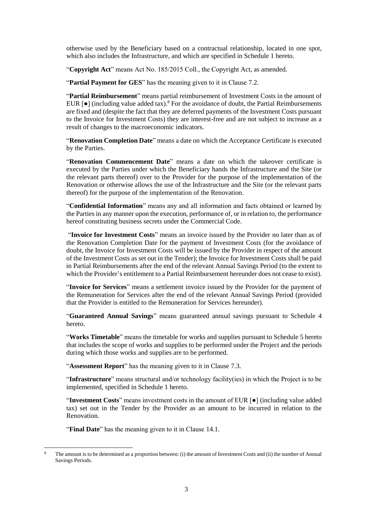otherwise used by the Beneficiary based on a contractual relationship, located in one spot, which also includes the Infrastructure, and which are specified in Schedule 1 hereto.

"**Copyright Act**" means Act No. 185/2015 Coll., the Copyright Act, as amended.

"**Partial Payment for GES**" has the meaning given to it in Clause [7.2.](#page-19-0)

"**Partial Reimbursement**" means partial reimbursement of Investment Costs in the amount of EUR  $[\bullet]$  (including value added tax).<sup>8</sup> For the avoidance of doubt, the Partial Reimbursements are fixed and (despite the fact that they are deferred payments of the Investment Costs pursuant to the Invoice for Investment Costs) they are interest-free and are not subject to increase as a result of changes to the macroeconomic indicators.

"**Renovation Completion Date**" means a date on which the Acceptance Certificate is executed by the Parties.

"**Renovation Commencement Date**" means a date on which the takeover certificate is executed by the Parties under which the Beneficiary hands the Infrastructure and the Site (or the relevant parts thereof) over to the Provider for the purpose of the implementation of the Renovation or otherwise allows the use of the Infrastructure and the Site (or the relevant parts thereof) for the purpose of the implementation of the Renovation.

"**Confidential Information**" means any and all information and facts obtained or learned by the Parties in any manner upon the execution, performance of, or in relation to, the performance hereof constituting business secrets under the Commercial Code.

"**Invoice for Investment Costs**" means an invoice issued by the Provider no later than as of the Renovation Completion Date for the payment of Investment Costs (for the avoidance of doubt, the Invoice for Investment Costs will be issued by the Provider in respect of the amount of the Investment Costs as set out in the Tender); the Invoice for Investment Costs shall be paid in Partial Reimbursements after the end of the relevant Annual Savings Period (to the extent to which the Provider's entitlement to a Partial Reimbursement hereunder does not cease to exist).

"**Invoice for Services**" means a settlement invoice issued by the Provider for the payment of the Remuneration for Services after the end of the relevant Annual Savings Period (provided that the Provider is entitled to the Remuneration for Services hereunder).

"**Guaranteed Annual Savings**" means guaranteed annual savings pursuant to Schedule 4 hereto.

"**Works Timetable**" means the timetable for works and supplies pursuant to Schedule 5 hereto that includes the scope of works and supplies to be performed under the Project and the periods during which those works and supplies are to be performed.

"**Assessment Report**" has the meaning given to it in Clause [7.3.](#page-19-1)

"**Infrastructure**" means structural and/or technology facility(ies) in which the Project is to be implemented, specified in Schedule 1 hereto.

"**Investment Costs**" means investment costs in the amount of EUR [●] (including value added tax) set out in the Tender by the Provider as an amount to be incurred in relation to the Renovation.

"**Final Date**" has the meaning given to it in Clause [14.1.](#page-26-0)

-

The amount is to be determined as a proportion between: (i) the amount of Investment Costs and (ii) the number of Annual Savings Periods.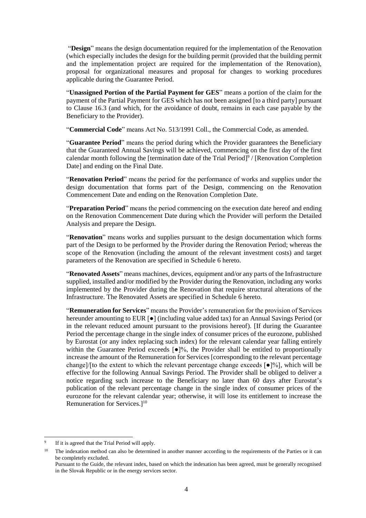"**Design**" means the design documentation required for the implementation of the Renovation (which especially includes the design for the building permit (provided that the building permit and the implementation project are required for the implementation of the Renovation), proposal for organizational measures and proposal for changes to working procedures applicable during the Guarantee Period.

"**Unassigned Portion of the Partial Payment for GES**" means a portion of the claim for the payment of the Partial Payment for GES which has not been assigned [to a third party] pursuant to Clause [16.3](#page-31-0) (and which, for the avoidance of doubt, remains in each case payable by the Beneficiary to the Provider).

"**Commercial Code**" means Act No. 513/1991 Coll., the Commercial Code, as amended.

"**Guarantee Period**" means the period during which the Provider guarantees the Beneficiary that the Guaranteed Annual Savings will be achieved, commencing on the first day of the first calendar month following the [termination date of the Trial Period] $\frac{9}{1}$  [Renovation Completion Date] and ending on the Final Date.

"**Renovation Period**" means the period for the performance of works and supplies under the design documentation that forms part of the Design, commencing on the Renovation Commencement Date and ending on the Renovation Completion Date.

"**Preparation Period**" means the period commencing on the execution date hereof and ending on the Renovation Commencement Date during which the Provider will perform the Detailed Analysis and prepare the Design.

"**Renovation**" means works and supplies pursuant to the design documentation which forms part of the Design to be performed by the Provider during the Renovation Period; whereas the scope of the Renovation (including the amount of the relevant investment costs) and target parameters of the Renovation are specified in Schedule 6 hereto.

"**Renovated Assets**" means machines, devices, equipment and/or any parts of the Infrastructure supplied, installed and/or modified by the Provider during the Renovation, including any works implemented by the Provider during the Renovation that require structural alterations of the Infrastructure. The Renovated Assets are specified in Schedule 6 hereto.

"**Remuneration for Services**" means the Provider's remuneration for the provision of Services hereunder amounting to EUR [●] (including value added tax) for an Annual Savings Period (or in the relevant reduced amount pursuant to the provisions hereof). [If during the Guarantee Period the percentage change in the single index of consumer prices of the eurozone, published by Eurostat (or any index replacing such index) for the relevant calendar year falling entirely within the Guarantee Period exceeds  $\lceil \bullet \rceil\%$ , the Provider shall be entitled to proportionally increase the amount of the Remuneration for Services [corresponding to the relevant percentage change]/[to the extent to which the relevant percentage change exceeds  $\lceil \bullet \rceil\% \rceil$ , which will be effective for the following Annual Savings Period. The Provider shall be obliged to deliver a notice regarding such increase to the Beneficiary no later than 60 days after Eurostat's publication of the relevant percentage change in the single index of consumer prices of the eurozone for the relevant calendar year; otherwise, it will lose its entitlement to increase the Remuneration for Services.<sup>10</sup>

<sup>9</sup> If it is agreed that the Trial Period will apply.

<sup>&</sup>lt;sup>10</sup> The indexation method can also be determined in another manner according to the requirements of the Parties or it can be completely excluded.

Pursuant to the Guide, the relevant index, based on which the indexation has been agreed, must be generally recognised in the Slovak Republic or in the energy services sector.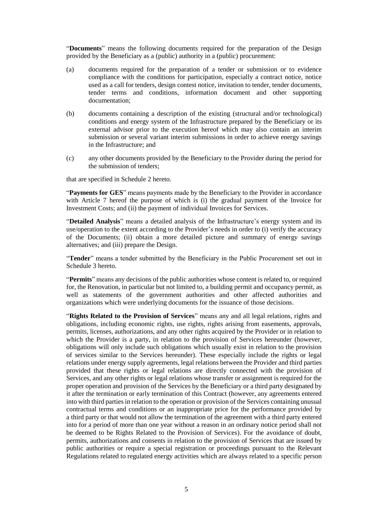"**Documents**" means the following documents required for the preparation of the Design provided by the Beneficiary as a (public) authority in a (public) procurement:

- (a) documents required for the preparation of a tender or submission or to evidence compliance with the conditions for participation, especially a contract notice, notice used as a call for tenders, design contest notice, invitation to tender, tender documents, tender terms and conditions, information document and other supporting documentation;
- (b) documents containing a description of the existing (structural and/or technological) conditions and energy system of the Infrastructure prepared by the Beneficiary or its external advisor prior to the execution hereof which may also contain an interim submission or several variant interim submissions in order to achieve energy savings in the Infrastructure; and
- (c) any other documents provided by the Beneficiary to the Provider during the period for the submission of tenders;

that are specified in Schedule 2 hereto.

"**Payments for GES**" means payments made by the Beneficiary to the Provider in accordance with Article [7](#page-18-0) hereof the purpose of which is (i) the gradual payment of the Invoice for Investment Costs; and (ii) the payment of individual Invoices for Services.

"**Detailed Analysis**" means a detailed analysis of the Infrastructure's energy system and its use/operation to the extent according to the Provider's needs in order to (i) verify the accuracy of the Documents; (ii) obtain a more detailed picture and summary of energy savings alternatives; and (iii) prepare the Design.

"**Tender**" means a tender submitted by the Beneficiary in the Public Procurement set out in Schedule 3 hereto.

"**Permits**" means any decisions of the public authorities whose content is related to, or required for, the Renovation, in particular but not limited to, a building permit and occupancy permit, as well as statements of the government authorities and other affected authorities and organizations which were underlying documents for the issuance of those decisions.

"**Rights Related to the Provision of Services**" means any and all legal relations, rights and obligations, including economic rights, use rights, rights arising from easements, approvals, permits, licenses, authorizations, and any other rights acquired by the Provider or in relation to which the Provider is a party, in relation to the provision of Services hereunder (however, obligations will only include such obligations which usually exist in relation to the provision of services similar to the Services hereunder). These especially include the rights or legal relations under energy supply agreements, legal relations between the Provider and third parties provided that these rights or legal relations are directly connected with the provision of Services, and any other rights or legal relations whose transfer or assignment is required for the proper operation and provision of the Services by the Beneficiary or a third party designated by it after the termination or early termination of this Contract (however, any agreements entered into with third parties in relation to the operation or provision of the Services containing unusual contractual terms and conditions or an inappropriate price for the performance provided by a third party or that would not allow the termination of the agreement with a third party entered into for a period of more than one year without a reason in an ordinary notice period shall not be deemed to be Rights Related to the Provision of Services). For the avoidance of doubt, permits, authorizations and consents in relation to the provision of Services that are issued by public authorities or require a special registration or proceedings pursuant to the Relevant Regulations related to regulated energy activities which are always related to a specific person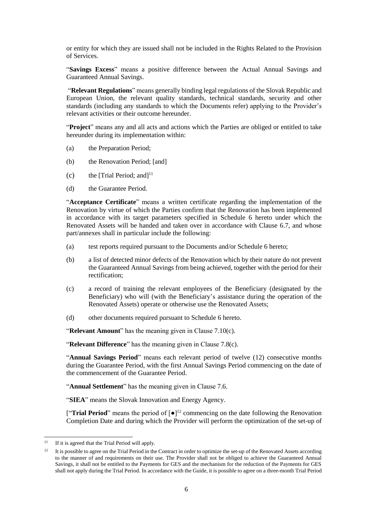or entity for which they are issued shall not be included in the Rights Related to the Provision of Services.

"**Savings Excess**" means a positive difference between the Actual Annual Savings and Guaranteed Annual Savings.

"**Relevant Regulations**" means generally binding legal regulations of the Slovak Republic and European Union, the relevant quality standards, technical standards, security and other standards (including any standards to which the Documents refer) applying to the Provider's relevant activities or their outcome hereunder.

"**Project**" means any and all acts and actions which the Parties are obliged or entitled to take hereunder during its implementation within:

- (a) the Preparation Period;
- (b) the Renovation Period; [and]
- (c) the [Trial Period; and  $]$ <sup>11</sup>
- (d) the Guarantee Period.

"**Acceptance Certificate**" means a written certificate regarding the implementation of the Renovation by virtue of which the Parties confirm that the Renovation has been implemented in accordance with its target parameters specified in Schedule 6 hereto under which the Renovated Assets will be handed and taken over in accordance with Clause [6.7,](#page-17-0) and whose part/annexes shall in particular include the following:

- (a) test reports required pursuant to the Documents and/or Schedule 6 hereto;
- (b) a list of detected minor defects of the Renovation which by their nature do not prevent the Guaranteed Annual Savings from being achieved, together with the period for their rectification;
- (c) a record of training the relevant employees of the Beneficiary (designated by the Beneficiary) who will (with the Beneficiary's assistance during the operation of the Renovated Assets) operate or otherwise use the Renovated Assets;
- (d) other documents required pursuant to Schedule 6 hereto.

"**Relevant Amount**" has the meaning given in Claus[e 7.10\(c\).](#page-22-0)

"**Relevant Difference**" has the meaning given in Clause [7.8\(c\).](#page-21-0)

"**Annual Savings Period**" means each relevant period of twelve (12) consecutive months during the Guarantee Period, with the first Annual Savings Period commencing on the date of the commencement of the Guarantee Period.

"**Annual Settlement**" has the meaning given in Clause [7.6.](#page-20-0)

"**SIEA**" means the Slovak Innovation and Energy Agency.

["**Trial Period**" means the period of  $\lceil \bullet \rceil$ <sup>12</sup> commencing on the date following the Renovation Completion Date and during which the Provider will perform the optimization of the set-up of

 $11 -$ If it is agreed that the Trial Period will apply.

<sup>&</sup>lt;sup>12</sup> It is possible to agree on the Trial Period in the Contract in order to optimize the set-up of the Renovated Assets according to the manner of and requirements on their use. The Provider shall not be obliged to achieve the Guaranteed Annual Savings, it shall not be entitled to the Payments for GES and the mechanism for the reduction of the Payments for GES shall not apply during the Trial Period. In accordance with the Guide, it is possible to agree on a three-month Trial Period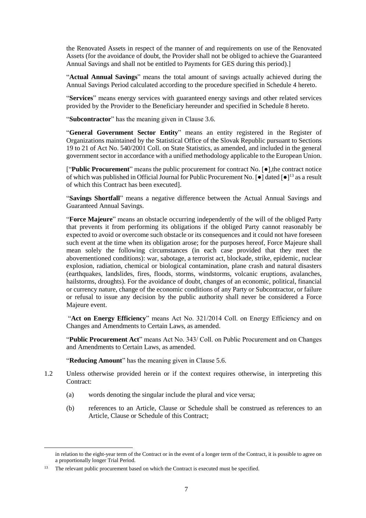the Renovated Assets in respect of the manner of and requirements on use of the Renovated Assets (for the avoidance of doubt, the Provider shall not be obliged to achieve the Guaranteed Annual Savings and shall not be entitled to Payments for GES during this period).]

"**Actual Annual Savings**" means the total amount of savings actually achieved during the Annual Savings Period calculated according to the procedure specified in Schedule 4 hereto.

"**Services**" means energy services with guaranteed energy savings and other related services provided by the Provider to the Beneficiary hereunder and specified in Schedule 8 hereto.

"**Subcontractor**" has the meaning given in Clause [3.6.](#page-10-0)

"**General Government Sector Entity**" means an entity registered in the Register of Organizations maintained by the Statistical Office of the Slovak Republic pursuant to Sections 19 to 21 of Act No. 540/2001 Coll. on State Statistics, as amended, and included in the general government sector in accordance with a unified methodology applicable to the European Union.

["**Public Procurement**" means the public procurement for contract No. [●],the contract notice of which was published in Official Journal for Public Procurement No. [●] dated [●]<sup>13</sup> as a result of which this Contract has been executed].

"**Savings Shortfall**" means a negative difference between the Actual Annual Savings and Guaranteed Annual Savings.

"**Force Majeure**" means an obstacle occurring independently of the will of the obliged Party that prevents it from performing its obligations if the obliged Party cannot reasonably be expected to avoid or overcome such obstacle or its consequences and it could not have foreseen such event at the time when its obligation arose; for the purposes hereof, Force Majeure shall mean solely the following circumstances (in each case provided that they meet the abovementioned conditions): war, sabotage, a terrorist act, blockade, strike, epidemic, nuclear explosion, radiation, chemical or biological contamination, plane crash and natural disasters (earthquakes, landslides, fires, floods, storms, windstorms, volcanic eruptions, avalanches, hailstorms, droughts). For the avoidance of doubt, changes of an economic, political, financial or currency nature, change of the economic conditions of any Party or Subcontractor, or failure or refusal to issue any decision by the public authority shall never be considered a Force Majeure event.

"**Act on Energy Efficiency**" means Act No. 321/2014 Coll. on Energy Efficiency and on Changes and Amendments to Certain Laws, as amended.

"**Public Procurement Act**" means Act No. 343/ Coll. on Public Procurement and on Changes and Amendments to Certain Laws, as amended.

"**Reducing Amount**" has the meaning given in Clause [5.6.](#page-15-0)

- 1.2 Unless otherwise provided herein or if the context requires otherwise, in interpreting this Contract:
	- (a) words denoting the singular include the plural and vice versa;
	- (b) references to an Article, Clause or Schedule shall be construed as references to an Article, Clause or Schedule of this Contract;

-

in relation to the eight-year term of the Contract or in the event of a longer term of the Contract, it is possible to agree on a proportionally longer Trial Period.

<sup>&</sup>lt;sup>13</sup> The relevant public procurement based on which the Contract is executed must be specified.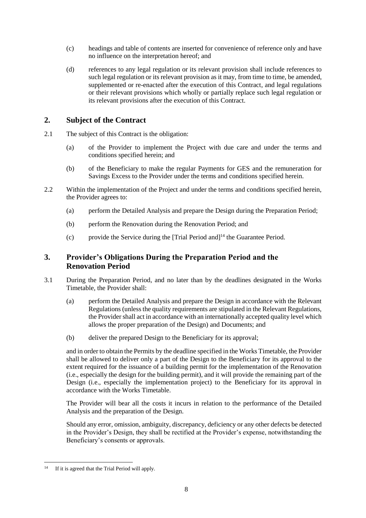- (c) headings and table of contents are inserted for convenience of reference only and have no influence on the interpretation hereof; and
- (d) references to any legal regulation or its relevant provision shall include references to such legal regulation or its relevant provision as it may, from time to time, be amended, supplemented or re-enacted after the execution of this Contract, and legal regulations or their relevant provisions which wholly or partially replace such legal regulation or its relevant provisions after the execution of this Contract.

## **2. Subject of the Contract**

- 2.1 The subject of this Contract is the obligation:
	- (a) of the Provider to implement the Project with due care and under the terms and conditions specified herein; and
	- (b) of the Beneficiary to make the regular Payments for GES and the remuneration for Savings Excess to the Provider under the terms and conditions specified herein.
- 2.2 Within the implementation of the Project and under the terms and conditions specified herein, the Provider agrees to:
	- (a) perform the Detailed Analysis and prepare the Design during the Preparation Period;
	- (b) perform the Renovation during the Renovation Period; and
	- (c) provide the Service during the [Trial Period and]<sup>14</sup> the Guarantee Period.

## **3. Provider's Obligations During the Preparation Period and the Renovation Period**

- 3.1 During the Preparation Period, and no later than by the deadlines designated in the Works Timetable, the Provider shall:
	- (a) perform the Detailed Analysis and prepare the Design in accordance with the Relevant Regulations (unless the quality requirements are stipulated in the Relevant Regulations, the Provider shall act in accordance with an internationally accepted quality level which allows the proper preparation of the Design) and Documents; and
	- (b) deliver the prepared Design to the Beneficiary for its approval;

<span id="page-8-0"></span>and in order to obtain the Permits by the deadline specified in the Works Timetable, the Provider shall be allowed to deliver only a part of the Design to the Beneficiary for its approval to the extent required for the issuance of a building permit for the implementation of the Renovation (i.e., especially the design for the building permit), and it will provide the remaining part of the Design (i.e., especially the implementation project) to the Beneficiary for its approval in accordance with the Works Timetable.

The Provider will bear all the costs it incurs in relation to the performance of the Detailed Analysis and the preparation of the Design.

Should any error, omission, ambiguity, discrepancy, deficiency or any other defects be detected in the Provider's Design, they shall be rectified at the Provider's expense, notwithstanding the Beneficiary's consents or approvals.

 $14$ If it is agreed that the Trial Period will apply.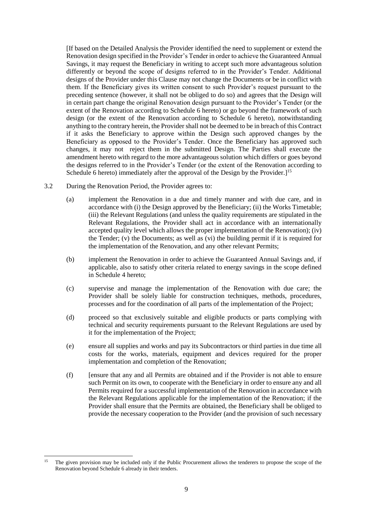[If based on the Detailed Analysis the Provider identified the need to supplement or extend the Renovation design specified in the Provider's Tender in order to achieve the Guaranteed Annual Savings, it may request the Beneficiary in writing to accept such more advantageous solution differently or beyond the scope of designs referred to in the Provider's Tender. Additional designs of the Provider under this Clause may not change the Documents or be in conflict with them. If the Beneficiary gives its written consent to such Provider's request pursuant to the preceding sentence (however, it shall not be obliged to do so) and agrees that the Design will in certain part change the original Renovation design pursuant to the Provider's Tender (or the extent of the Renovation according to Schedule 6 hereto) or go beyond the framework of such design (or the extent of the Renovation according to Schedule 6 hereto), notwithstanding anything to the contrary herein, the Provider shall not be deemed to be in breach of this Contract if it asks the Beneficiary to approve within the Design such approved changes by the Beneficiary as opposed to the Provider's Tender. Once the Beneficiary has approved such changes, it may not reject them in the submitted Design. The Parties shall execute the amendment hereto with regard to the more advantageous solution which differs or goes beyond the designs referred to in the Provider's Tender (or the extent of the Renovation according to Schedule 6 hereto) immediately after the approval of the Design by the Provider. $l^{15}$ 

- 3.2 During the Renovation Period, the Provider agrees to:
	- (a) implement the Renovation in a due and timely manner and with due care, and in accordance with (i) the Design approved by the Beneficiary; (ii) the Works Timetable; (iii) the Relevant Regulations (and unless the quality requirements are stipulated in the Relevant Regulations, the Provider shall act in accordance with an internationally accepted quality level which allows the proper implementation of the Renovation); (iv) the Tender; (v) the Documents; as well as (vi) the building permit if it is required for the implementation of the Renovation, and any other relevant Permits;
	- (b) implement the Renovation in order to achieve the Guaranteed Annual Savings and, if applicable, also to satisfy other criteria related to energy savings in the scope defined in Schedule 4 hereto;
	- (c) supervise and manage the implementation of the Renovation with due care; the Provider shall be solely liable for construction techniques, methods, procedures, processes and for the coordination of all parts of the implementation of the Project;
	- (d) proceed so that exclusively suitable and eligible products or parts complying with technical and security requirements pursuant to the Relevant Regulations are used by it for the implementation of the Project;
	- (e) ensure all supplies and works and pay its Subcontractors or third parties in due time all costs for the works, materials, equipment and devices required for the proper implementation and completion of the Renovation;
	- (f) [ensure that any and all Permits are obtained and if the Provider is not able to ensure such Permit on its own, to cooperate with the Beneficiary in order to ensure any and all Permits required for a successful implementation of the Renovation in accordance with the Relevant Regulations applicable for the implementation of the Renovation; if the Provider shall ensure that the Permits are obtained, the Beneficiary shall be obliged to provide the necessary cooperation to the Provider (and the provision of such necessary

<sup>1</sup> <sup>15</sup> The given provision may be included only if the Public Procurement allows the tenderers to propose the scope of the Renovation beyond Schedule 6 already in their tenders.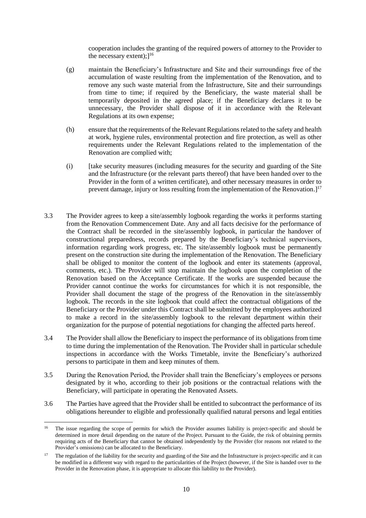cooperation includes the granting of the required powers of attorney to the Provider to the necessary extent);<sup>16</sup>

- (g) maintain the Beneficiary's Infrastructure and Site and their surroundings free of the accumulation of waste resulting from the implementation of the Renovation, and to remove any such waste material from the Infrastructure, Site and their surroundings from time to time; if required by the Beneficiary, the waste material shall be temporarily deposited in the agreed place; if the Beneficiary declares it to be unnecessary, the Provider shall dispose of it in accordance with the Relevant Regulations at its own expense;
- (h) ensure that the requirements of the Relevant Regulations related to the safety and health at work, hygiene rules, environmental protection and fire protection, as well as other requirements under the Relevant Regulations related to the implementation of the Renovation are complied with;
- (i) [take security measures (including measures for the security and guarding of the Site and the Infrastructure (or the relevant parts thereof) that have been handed over to the Provider in the form of a written certificate), and other necessary measures in order to prevent damage, injury or loss resulting from the implementation of the Renovation. $]^{17}$
- 3.3 The Provider agrees to keep a site/assembly logbook regarding the works it performs starting from the Renovation Commencement Date. Any and all facts decisive for the performance of the Contract shall be recorded in the site/assembly logbook, in particular the handover of constructional preparedness, records prepared by the Beneficiary's technical supervisors, information regarding work progress, etc. The site/assembly logbook must be permanently present on the construction site during the implementation of the Renovation. The Beneficiary shall be obliged to monitor the content of the logbook and enter its statements (approval, comments, etc.). The Provider will stop maintain the logbook upon the completion of the Renovation based on the Acceptance Certificate. If the works are suspended because the Provider cannot continue the works for circumstances for which it is not responsible, the Provider shall document the stage of the progress of the Renovation in the site/assembly logbook. The records in the site logbook that could affect the contractual obligations of the Beneficiary or the Provider under this Contract shall be submitted by the employees authorized to make a record in the site/assembly logbook to the relevant department within their organization for the purpose of potential negotiations for changing the affected parts hereof.
- 3.4 The Provider shall allow the Beneficiary to inspect the performance of its obligations from time to time during the implementation of the Renovation. The Provider shall in particular schedule inspections in accordance with the Works Timetable, invite the Beneficiary's authorized persons to participate in them and keep minutes of them.
- 3.5 During the Renovation Period, the Provider shall train the Beneficiary's employees or persons designated by it who, according to their job positions or the contractual relations with the Beneficiary, will participate in operating the Renovated Assets.
- <span id="page-10-0"></span>3.6 The Parties have agreed that the Provider shall be entitled to subcontract the performance of its obligations hereunder to eligible and professionally qualified natural persons and legal entities

 $16\overline{ }$ <sup>16</sup> The issue regarding the scope of permits for which the Provider assumes liability is project-specific and should be determined in more detail depending on the nature of the Project. Pursuant to the Guide, the risk of obtaining permits requiring acts of the Beneficiary that cannot be obtained independently by the Provider (for reasons not related to the Provider's omissions) can be allocated to the Beneficiary.

<sup>&</sup>lt;sup>17</sup> The regulation of the liability for the security and guarding of the Site and the Infrastructure is project-specific and it can be modified in a different way with regard to the particularities of the Project (however, if the Site is handed over to the Provider in the Renovation phase, it is appropriate to allocate this liability to the Provider).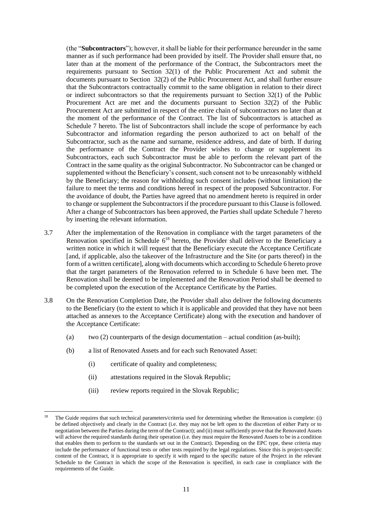(the "**Subcontractors**"); however, it shall be liable for their performance hereunder in the same manner as if such performance had been provided by itself. The Provider shall ensure that, no later than at the moment of the performance of the Contract, the Subcontractors meet the requirements pursuant to Section 32(1) of the Public Procurement Act and submit the documents pursuant to Section 32(2) of the Public Procurement Act, and shall further ensure that the Subcontractors contractually commit to the same obligation in relation to their direct or indirect subcontractors so that the requirements pursuant to Section 32(1) of the Public Procurement Act are met and the documents pursuant to Section 32(2) of the Public Procurement Act are submitted in respect of the entire chain of subcontractors no later than at the moment of the performance of the Contract. The list of Subcontractors is attached as Schedule 7 hereto. The list of Subcontractors shall include the scope of performance by each Subcontractor and information regarding the person authorized to act on behalf of the Subcontractor, such as the name and surname, residence address, and date of birth. If during the performance of the Contract the Provider wishes to change or supplement its Subcontractors, each such Subcontractor must be able to perform the relevant part of the Contract in the same quality as the original Subcontractor. No Subcontractor can be changed or supplemented without the Beneficiary's consent, such consent not to be unreasonably withheld by the Beneficiary; the reason for withholding such consent includes (without limitation) the failure to meet the terms and conditions hereof in respect of the proposed Subcontractor. For the avoidance of doubt, the Parties have agreed that no amendment hereto is required in order to change or supplement the Subcontractors if the procedure pursuant to this Clause is followed. After a change of Subcontractors has been approved, the Parties shall update Schedule 7 hereto by inserting the relevant information.

- 3.7 After the implementation of the Renovation in compliance with the target parameters of the Renovation specified in Schedule  $6^{18}$  hereto, the Provider shall deliver to the Beneficiary a written notice in which it will request that the Beneficiary execute the Acceptance Certificate [and, if applicable, also the takeover of the Infrastructure and the Site (or parts thereof) in the form of a written certificate], along with documents which according to Schedule 6 hereto prove that the target parameters of the Renovation referred to in Schedule 6 have been met. The Renovation shall be deemed to be implemented and the Renovation Period shall be deemed to be completed upon the execution of the Acceptance Certificate by the Parties.
- 3.8 On the Renovation Completion Date, the Provider shall also deliver the following documents to the Beneficiary (to the extent to which it is applicable and provided that they have not been attached as annexes to the Acceptance Certificate) along with the execution and handover of the Acceptance Certificate:
	- (a) two  $(2)$  counterparts of the design documentation actual condition (as-built);
	- (b) a list of Renovated Assets and for each such Renovated Asset:
		- (i) certificate of quality and completeness;

- (ii) attestations required in the Slovak Republic;
- (iii) review reports required in the Slovak Republic;

<sup>&</sup>lt;sup>18</sup> The Guide requires that such technical parameters/criteria used for determining whether the Renovation is complete: (i) be defined objectively and clearly in the Contract (i.e. they may not be left open to the discretion of either Party or to negotiation between the Parties during the term of the Contract); and (ii) must sufficiently prove that the Renovated Assets will achieve the required standards during their operation (i.e. they must require the Renovated Assets to be in a condition that enables them to perform to the standards set out in the Contract). Depending on the EPC type, these criteria may include the performance of functional tests or other tests required by the legal regulations. Since this is project-specific content of the Contract, it is appropriate to specify it with regard to the specific nature of the Project in the relevant Schedule to the Contract in which the scope of the Renovation is specified, in each case in compliance with the requirements of the Guide.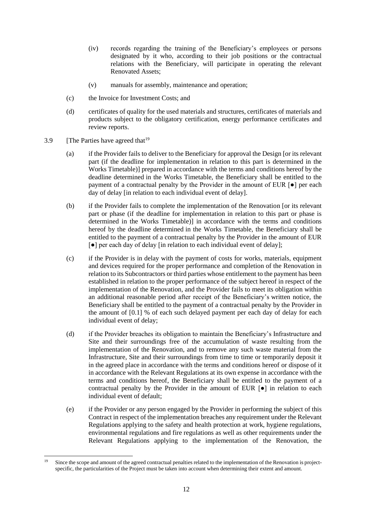- (iv) records regarding the training of the Beneficiary's employees or persons designated by it who, according to their job positions or the contractual relations with the Beneficiary, will participate in operating the relevant Renovated Assets;
- (v) manuals for assembly, maintenance and operation;
- (c) the Invoice for Investment Costs; and
- (d) certificates of quality for the used materials and structures, certificates of materials and products subject to the obligatory certification, energy performance certificates and review reports.
- 3.9 [The Parties have agreed that  $19$

- (a) if the Provider fails to deliver to the Beneficiary for approval the Design [or its relevant part (if the deadline for implementation in relation to this part is determined in the Works Timetable)] prepared in accordance with the terms and conditions hereof by the deadline determined in the Works Timetable, the Beneficiary shall be entitled to the payment of a contractual penalty by the Provider in the amount of EUR  $\lceil \bullet \rceil$  per each day of delay [in relation to each individual event of delay].
- (b) if the Provider fails to complete the implementation of the Renovation [or its relevant part or phase (if the deadline for implementation in relation to this part or phase is determined in the Works Timetable)] in accordance with the terms and conditions hereof by the deadline determined in the Works Timetable, the Beneficiary shall be entitled to the payment of a contractual penalty by the Provider in the amount of EUR [●] per each day of delay [in relation to each individual event of delay];
- (c) if the Provider is in delay with the payment of costs for works, materials, equipment and devices required for the proper performance and completion of the Renovation in relation to its Subcontractors or third parties whose entitlement to the payment has been established in relation to the proper performance of the subject hereof in respect of the implementation of the Renovation, and the Provider fails to meet its obligation within an additional reasonable period after receipt of the Beneficiary's written notice, the Beneficiary shall be entitled to the payment of a contractual penalty by the Provider in the amount of [0.1] % of each such delayed payment per each day of delay for each individual event of delay;
- (d) if the Provider breaches its obligation to maintain the Beneficiary's Infrastructure and Site and their surroundings free of the accumulation of waste resulting from the implementation of the Renovation, and to remove any such waste material from the Infrastructure, Site and their surroundings from time to time or temporarily deposit it in the agreed place in accordance with the terms and conditions hereof or dispose of it in accordance with the Relevant Regulations at its own expense in accordance with the terms and conditions hereof, the Beneficiary shall be entitled to the payment of a contractual penalty by the Provider in the amount of EUR [●] in relation to each individual event of default;
- (e) if the Provider or any person engaged by the Provider in performing the subject of this Contract in respect of the implementation breaches any requirement under the Relevant Regulations applying to the safety and health protection at work, hygiene regulations, environmental regulations and fire regulations as well as other requirements under the Relevant Regulations applying to the implementation of the Renovation, the

Since the scope and amount of the agreed contractual penalties related to the implementation of the Renovation is projectspecific, the particularities of the Project must be taken into account when determining their extent and amount.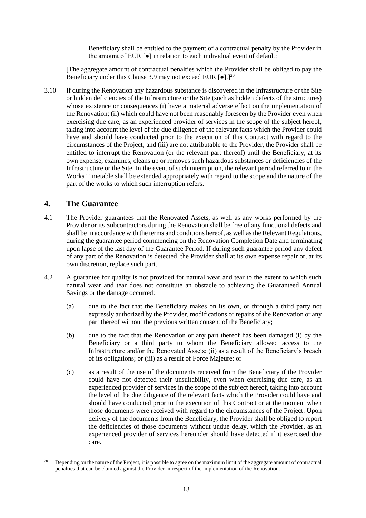Beneficiary shall be entitled to the payment of a contractual penalty by the Provider in the amount of EUR [●] in relation to each individual event of default;

[The aggregate amount of contractual penalties which the Provider shall be obliged to pay the Beneficiary under this Clause 3.9 may not exceed EUR  $\lceil \bullet \rceil$ .  $\rceil^{20}$ 

3.10 If during the Renovation any hazardous substance is discovered in the Infrastructure or the Site or hidden deficiencies of the Infrastructure or the Site (such as hidden defects of the structures) whose existence or consequences (i) have a material adverse effect on the implementation of the Renovation; (ii) which could have not been reasonably foreseen by the Provider even when exercising due care, as an experienced provider of services in the scope of the subject hereof, taking into account the level of the due diligence of the relevant facts which the Provider could have and should have conducted prior to the execution of this Contract with regard to the circumstances of the Project; and (iii) are not attributable to the Provider, the Provider shall be entitled to interrupt the Renovation (or the relevant part thereof) until the Beneficiary, at its own expense, examines, cleans up or removes such hazardous substances or deficiencies of the Infrastructure or the Site. In the event of such interruption, the relevant period referred to in the Works Timetable shall be extended appropriately with regard to the scope and the nature of the part of the works to which such interruption refers.

## **4. The Guarantee**

- 4.1 The Provider guarantees that the Renovated Assets, as well as any works performed by the Provider or its Subcontractors during the Renovation shall be free of any functional defects and shall be in accordance with the terms and conditions hereof, as well as the Relevant Regulations, during the guarantee period commencing on the Renovation Completion Date and terminating upon lapse of the last day of the Guarantee Period. If during such guarantee period any defect of any part of the Renovation is detected, the Provider shall at its own expense repair or, at its own discretion, replace such part.
- 4.2 A guarantee for quality is not provided for natural wear and tear to the extent to which such natural wear and tear does not constitute an obstacle to achieving the Guaranteed Annual Savings or the damage occurred:
	- (a) due to the fact that the Beneficiary makes on its own, or through a third party not expressly authorized by the Provider, modifications or repairs of the Renovation or any part thereof without the previous written consent of the Beneficiary;
	- (b) due to the fact that the Renovation or any part thereof has been damaged (i) by the Beneficiary or a third party to whom the Beneficiary allowed access to the Infrastructure and/or the Renovated Assets; (ii) as a result of the Beneficiary's breach of its obligations; or (iii) as a result of Force Majeure; or
	- (c) as a result of the use of the documents received from the Beneficiary if the Provider could have not detected their unsuitability, even when exercising due care, as an experienced provider of services in the scope of the subject hereof, taking into account the level of the due diligence of the relevant facts which the Provider could have and should have conducted prior to the execution of this Contract or at the moment when those documents were received with regard to the circumstances of the Project. Upon delivery of the documents from the Beneficiary, the Provider shall be obliged to report the deficiencies of those documents without undue delay, which the Provider, as an experienced provider of services hereunder should have detected if it exercised due care.

<sup>1</sup> <sup>20</sup> Depending on the nature of the Project, it is possible to agree on the maximum limit of the aggregate amount of contractual penalties that can be claimed against the Provider in respect of the implementation of the Renovation.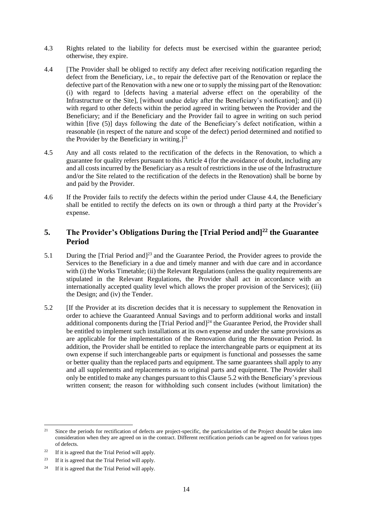- 4.3 Rights related to the liability for defects must be exercised within the guarantee period; otherwise, they expire.
- <span id="page-14-1"></span>4.4 [The Provider shall be obliged to rectify any defect after receiving notification regarding the defect from the Beneficiary, i.e., to repair the defective part of the Renovation or replace the defective part of the Renovation with a new one or to supply the missing part of the Renovation: (i) with regard to [defects having a material adverse effect on the operability of the Infrastructure or the Site], [without undue delay after the Beneficiary's notification]; and (ii) with regard to other defects within the period agreed in writing between the Provider and the Beneficiary; and if the Beneficiary and the Provider fail to agree in writing on such period within [five (5)] days following the date of the Beneficiary's defect notification, within a reasonable (in respect of the nature and scope of the defect) period determined and notified to the Provider by the Beneficiary in writing. $]^{21}$
- 4.5 Any and all costs related to the rectification of the defects in the Renovation, to which a guarantee for quality refers pursuant to this Article 4 (for the avoidance of doubt, including any and all costs incurred by the Beneficiary as a result of restrictions in the use of the Infrastructure and/or the Site related to the rectification of the defects in the Renovation) shall be borne by and paid by the Provider.
- 4.6 If the Provider fails to rectify the defects within the period under Clause 4.4, the Beneficiary shall be entitled to rectify the defects on its own or through a third party at the Provider's expense.

# **5. The Provider's Obligations During the [Trial Period and]<sup>22</sup> the Guarantee Period**

- 5.1 During the [Trial Period and]<sup>23</sup> and the Guarantee Period, the Provider agrees to provide the Services to the Beneficiary in a due and timely manner and with due care and in accordance with (i) the Works Timetable; (ii) the Relevant Regulations (unless the quality requirements are stipulated in the Relevant Regulations, the Provider shall act in accordance with an internationally accepted quality level which allows the proper provision of the Services); (iii) the Design; and (iv) the Tender.
- <span id="page-14-0"></span>5.2 [If the Provider at its discretion decides that it is necessary to supplement the Renovation in order to achieve the Guaranteed Annual Savings and to perform additional works and install additional components during the [Trial Period and]<sup>24</sup> the Guarantee Period, the Provider shall be entitled to implement such installations at its own expense and under the same provisions as are applicable for the implementation of the Renovation during the Renovation Period. In addition, the Provider shall be entitled to replace the interchangeable parts or equipment at its own expense if such interchangeable parts or equipment is functional and possesses the same or better quality than the replaced parts and equipment. The same guarantees shall apply to any and all supplements and replacements as to original parts and equipment. The Provider shall only be entitled to make any changes pursuant to this Clause [5.2](#page-14-0) with the Beneficiary's previous written consent; the reason for withholding such consent includes (without limitation) the

 $21$ <sup>21</sup> Since the periods for rectification of defects are project-specific, the particularities of the Project should be taken into consideration when they are agreed on in the contract. Different rectification periods can be agreed on for various types of defects.

 $22$  If it is agreed that the Trial Period will apply.

<sup>23</sup> If it is agreed that the Trial Period will apply.

<sup>&</sup>lt;sup>24</sup> If it is agreed that the Trial Period will apply.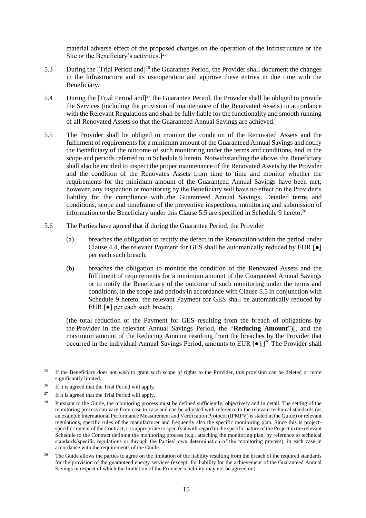material adverse effect of the proposed changes on the operation of the Infrastructure or the Site or the Beneficiary's activities.] 25

- 5.3 During the [Trial Period and]<sup>26</sup> the Guarantee Period, the Provider shall document the changes in the Infrastructure and its use/operation and approve these entries in due time with the Beneficiary.
- 5.4 During the [Trial Period and]<sup>27</sup> the Guarantee Period, the Provider shall be obliged to provide the Services (including the provision of maintenance of the Renovated Assets) in accordance with the Relevant Regulations and shall be fully liable for the functionality and smooth running of all Renovated Assets so that the Guaranteed Annual Savings are achieved.
- <span id="page-15-1"></span>5.5 The Provider shall be obliged to monitor the condition of the Renovated Assets and the fulfilment of requirements for a minimum amount of the Guaranteed Annual Savings and notify the Beneficiary of the outcome of such monitoring under the terms and conditions, and in the scope and periods referred to in Schedule 9 hereto. Notwithstanding the above, the Beneficiary shall also be entitled to inspect the proper maintenance of the Renovated Assets by the Provider and the condition of the Renovates Assets from time to time and monitor whether the requirements for the minimum amount of the Guaranteed Annual Savings have been met; however, any inspection or monitoring by the Beneficiary will have no effect on the Provider's liability for the compliance with the Guaranteed Annual Savings. Detailed terms and conditions, scope and timeframe of the preventive inspections, monitoring and submission of information to the Beneficiary under this Clause [5.5](#page-15-1) are specified in Schedule 9 hereto.<sup>28</sup>
- <span id="page-15-0"></span>5.6 The Parties have agreed that if during the Guarantee Period, the Provider
	- (a) breaches the obligation to rectify the defect in the Renovation within the period under Clause [4.4,](#page-14-1) the relevant Payment for GES shall be automatically reduced by EUR  $\lceil \bullet \rceil$ per each such breach;
	- (b) breaches the obligation to monitor the condition of the Renovated Assets and the fulfilment of requirements for a minimum amount of the Guaranteed Annual Savings or to notify the Beneficiary of the outcome of such monitoring under the terms and conditions, in the scope and periods in accordance with Claus[e 5.5](#page-15-1) in conjunction with Schedule 9 hereto, the relevant Payment for GES shall be automatically reduced by EUR [●] per each such breach;

(the total reduction of the Payment for GES resulting from the breach of obligations by the Provider in the relevant Annual Savings Period, the "**Reducing Amount**")[, and the maximum amount of the Reducing Amount resulting from the breaches by the Provider that occurred in the individual Annual Savings Period, amounts to EUR [●].]<sup>29</sup> The Provider shall

<sup>&</sup>lt;sup>25</sup> If the Beneficiary does not wish to grant such scope of rights to the Provider, this provision can be deleted or more significantly limited.

<sup>&</sup>lt;sup>26</sup> If it is agreed that the Trial Period will apply.

<sup>&</sup>lt;sup>27</sup> If it is agreed that the Trial Period will apply.

<sup>&</sup>lt;sup>28</sup> Pursuant to the Guide, the monitoring process must be defined sufficiently, objectively and in detail. The setting of the monitoring process can vary from case to case and can be adjusted with reference to the relevant technical standards (as an example International Performance Measurement and Verification Protocol (IPMPV) is stated in the Guide) or relevant regulations, specific rules of the manufacturer and frequently also the specific monitoring plan. Since this is projectspecific content of the Contract, it is appropriate to specify it with regard to the specific nature of the Project in the relevant Schedule to the Contract defining the monitoring process (e.g., attaching the monitoring plan, by reference to technical standards/specific regulations or through the Parties' own determination of the monitoring process), in each case in accordance with the requirements of the Guide.

<sup>&</sup>lt;sup>29</sup> The Guide allows the parties to agree on the limitation of the liability resulting from the breach of the required standards for the provision of the guaranteed energy services (except for liability for the achievement of the Guaranteed Annual Savings in respect of which the limitation of the Provider's liability may not be agreed on).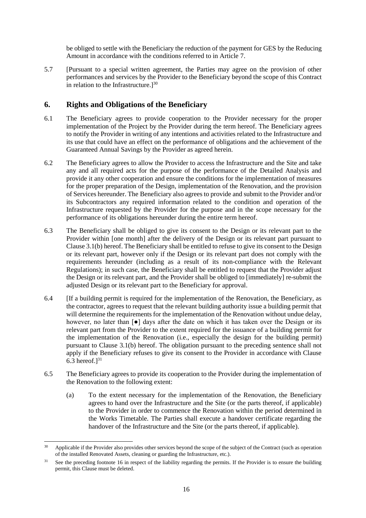be obliged to settle with the Beneficiary the reduction of the payment for GES by the Reducing Amount in accordance with the conditions referred to in Article [7.](#page-18-0)

5.7 [Pursuant to a special written agreement, the Parties may agree on the provision of other performances and services by the Provider to the Beneficiary beyond the scope of this Contract in relation to the Infrastructure. $]^{30}$ 

## **6. Rights and Obligations of the Beneficiary**

- 6.1 The Beneficiary agrees to provide cooperation to the Provider necessary for the proper implementation of the Project by the Provider during the term hereof. The Beneficiary agrees to notify the Provider in writing of any intentions and activities related to the Infrastructure and its use that could have an effect on the performance of obligations and the achievement of the Guaranteed Annual Savings by the Provider as agreed herein.
- 6.2 The Beneficiary agrees to allow the Provider to access the Infrastructure and the Site and take any and all required acts for the purpose of the performance of the Detailed Analysis and provide it any other cooperation and ensure the conditions for the implementation of measures for the proper preparation of the Design, implementation of the Renovation, and the provision of Services hereunder. The Beneficiary also agrees to provide and submit to the Provider and/or its Subcontractors any required information related to the condition and operation of the Infrastructure requested by the Provider for the purpose and in the scope necessary for the performance of its obligations hereunder during the entire term hereof.
- <span id="page-16-0"></span>6.3 The Beneficiary shall be obliged to give its consent to the Design or its relevant part to the Provider within [one month] after the delivery of the Design or its relevant part pursuant to Clause [3.1\(b\)](#page-8-0) hereof. The Beneficiary shall be entitled to refuse to give its consent to the Design or its relevant part, however only if the Design or its relevant part does not comply with the requirements hereunder (including as a result of its non-compliance with the Relevant Regulations); in such case, the Beneficiary shall be entitled to request that the Provider adjust the Design or its relevant part, and the Provider shall be obliged to [immediately] re-submit the adjusted Design or its relevant part to the Beneficiary for approval.
- 6.4 [If a building permit is required for the implementation of the Renovation, the Beneficiary, as the contractor, agrees to request that the relevant building authority issue a building permit that will determine the requirements for the implementation of the Renovation without undue delay. however, no later than  $\lceil \bullet \rceil$  days after the date on which it has taken over the Design or its relevant part from the Provider to the extent required for the issuance of a building permit for the implementation of the Renovation (i.e., especially the design for the building permit) pursuant to Clause [3.1\(b\)](#page-8-0) hereof. The obligation pursuant to the preceding sentence shall not apply if the Beneficiary refuses to give its consent to the Provider in accordance with Clause [6.3](#page-16-0) hereof. $]^{31}$
- <span id="page-16-1"></span>6.5 The Beneficiary agrees to provide its cooperation to the Provider during the implementation of the Renovation to the following extent:
	- (a) To the extent necessary for the implementation of the Renovation, the Beneficiary agrees to hand over the Infrastructure and the Site (or the parts thereof, if applicable) to the Provider in order to commence the Renovation within the period determined in the Works Timetable. The Parties shall execute a handover certificate regarding the handover of the Infrastructure and the Site (or the parts thereof, if applicable).

 $30<sup>2</sup>$ <sup>30</sup> Applicable if the Provider also provides other services beyond the scope of the subject of the Contract (such as operation of the installed Renovated Assets, cleaning or guarding the Infrastructure, etc.).

See the preceding footnote 16 in respect of the liability regarding the permits. If the Provider is to ensure the building permit, this Clause must be deleted.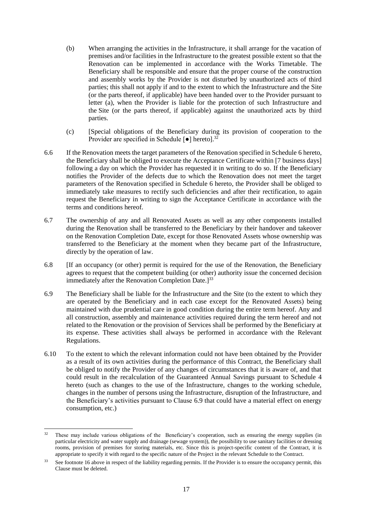- (b) When arranging the activities in the Infrastructure, it shall arrange for the vacation of premises and/or facilities in the Infrastructure to the greatest possible extent so that the Renovation can be implemented in accordance with the Works Timetable. The Beneficiary shall be responsible and ensure that the proper course of the construction and assembly works by the Provider is not disturbed by unauthorized acts of third parties; this shall not apply if and to the extent to which the Infrastructure and the Site (or the parts thereof, if applicable) have been handed over to the Provider pursuant to letter [\(a\),](#page-16-1) when the Provider is liable for the protection of such Infrastructure and the Site (or the parts thereof, if applicable) against the unauthorized acts by third parties.
- (c) [Special obligations of the Beneficiary during its provision of cooperation to the Provider are specified in Schedule  $\lceil \bullet \rceil$  hereto].<sup>32</sup>
- 6.6 If the Renovation meets the target parameters of the Renovation specified in Schedule 6 hereto, the Beneficiary shall be obliged to execute the Acceptance Certificate within [7 business days] following a day on which the Provider has requested it in writing to do so. If the Beneficiary notifies the Provider of the defects due to which the Renovation does not meet the target parameters of the Renovation specified in Schedule 6 hereto, the Provider shall be obliged to immediately take measures to rectify such deficiencies and after their rectification, to again request the Beneficiary in writing to sign the Acceptance Certificate in accordance with the terms and conditions hereof.
- <span id="page-17-0"></span>6.7 The ownership of any and all Renovated Assets as well as any other components installed during the Renovation shall be transferred to the Beneficiary by their handover and takeover on the Renovation Completion Date, except for those Renovated Assets whose ownership was transferred to the Beneficiary at the moment when they became part of the Infrastructure, directly by the operation of law.
- 6.8 [If an occupancy (or other) permit is required for the use of the Renovation, the Beneficiary agrees to request that the competent building (or other) authority issue the concerned decision immediately after the Renovation Completion Date.<sup>[33]</sup>
- <span id="page-17-1"></span>6.9 The Beneficiary shall be liable for the Infrastructure and the Site (to the extent to which they are operated by the Beneficiary and in each case except for the Renovated Assets) being maintained with due prudential care in good condition during the entire term hereof. Any and all construction, assembly and maintenance activities required during the term hereof and not related to the Renovation or the provision of Services shall be performed by the Beneficiary at its expense. These activities shall always be performed in accordance with the Relevant Regulations.
- 6.10 To the extent to which the relevant information could not have been obtained by the Provider as a result of its own activities during the performance of this Contract, the Beneficiary shall be obliged to notify the Provider of any changes of circumstances that it is aware of, and that could result in the recalculation of the Guaranteed Annual Savings pursuant to Schedule 4 hereto (such as changes to the use of the Infrastructure, changes to the working schedule, changes in the number of persons using the Infrastructure, disruption of the Infrastructure, and the Beneficiary's activities pursuant to Clause [6.9](#page-17-1) that could have a material effect on energy consumption, etc.)

<sup>-</sup><sup>32</sup> These may include various obligations of the Beneficiary's cooperation, such as ensuring the energy supplies (in particular electricity and water supply and drainage (sewage system)), the possibility to use sanitary facilities or dressing rooms, provision of premises for storing materials, etc. Since this is project-specific content of the Contract, it is appropriate to specify it with regard to the specific nature of the Project in the relevant Schedule to the Contract.

See footnote 16 above in respect of the liability regarding permits. If the Provider is to ensure the occupancy permit, this Clause must be deleted.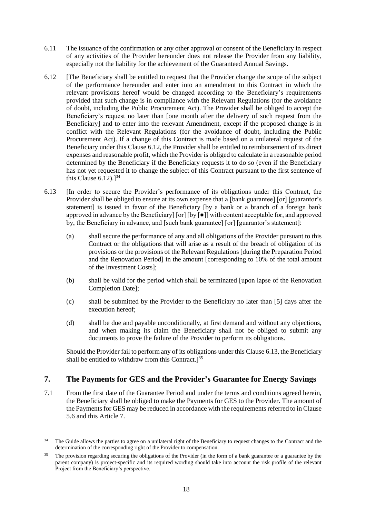- 6.11 The issuance of the confirmation or any other approval or consent of the Beneficiary in respect of any activities of the Provider hereunder does not release the Provider from any liability, especially not the liability for the achievement of the Guaranteed Annual Savings.
- <span id="page-18-1"></span>6.12 [The Beneficiary shall be entitled to request that the Provider change the scope of the subject of the performance hereunder and enter into an amendment to this Contract in which the relevant provisions hereof would be changed according to the Beneficiary's requirements provided that such change is in compliance with the Relevant Regulations (for the avoidance of doubt, including the Public Procurement Act). The Provider shall be obliged to accept the Beneficiary's request no later than [one month after the delivery of such request from the Beneficiary] and to enter into the relevant Amendment, except if the proposed change is in conflict with the Relevant Regulations (for the avoidance of doubt, including the Public Procurement Act). If a change of this Contract is made based on a unilateral request of the Beneficiary under this Clause [6.12,](#page-18-1) the Provider shall be entitled to reimbursement of its direct expenses and reasonable profit, which the Provider is obliged to calculate in a reasonable period determined by the Beneficiary if the Beneficiary requests it to do so (even if the Beneficiary has not yet requested it to change the subject of this Contract pursuant to the first sentence of this Clause  $6.12$ ).<sup>34</sup>
- <span id="page-18-2"></span>6.13 [In order to secure the Provider's performance of its obligations under this Contract, the Provider shall be obliged to ensure at its own expense that a [bank guarantee] [or] [guarantor's statement] is issued in favor of the Beneficiary [by a bank or a branch of a foreign bank approved in advance by the Beneficiary] [or] [by [●]] with content acceptable for, and approved by, the Beneficiary in advance, and [such bank guarantee] [or] [guarantor's statement]:
	- (a) shall secure the performance of any and all obligations of the Provider pursuant to this Contract or the obligations that will arise as a result of the breach of obligation of its provisions or the provisions of the Relevant Regulations [during the Preparation Period and the Renovation Period] in the amount [corresponding to 10% of the total amount of the Investment Costs];
	- (b) shall be valid for the period which shall be terminated [upon lapse of the Renovation Completion Date];
	- (c) shall be submitted by the Provider to the Beneficiary no later than [5] days after the execution hereof;
	- (d) shall be due and payable unconditionally, at first demand and without any objections, and when making its claim the Beneficiary shall not be obliged to submit any documents to prove the failure of the Provider to perform its obligations.

Should the Provider fail to perform any of its obligations under this Clause [6.13,](#page-18-2) the Beneficiary shall be entitled to withdraw from this Contract. $]^{35}$ 

# <span id="page-18-0"></span>**7. The Payments for GES and the Provider's Guarantee for Energy Savings**

7.1 From the first date of the Guarantee Period and under the terms and conditions agreed herein, the Beneficiary shall be obliged to make the Payments for GES to the Provider. The amount of the Payments for GES may be reduced in accordance with the requirements referred to in Clause [5.6](#page-15-0) and this Article [7.](#page-18-0)

<sup>1</sup> <sup>34</sup> The Guide allows the parties to agree on a unilateral right of the Beneficiary to request changes to the Contract and the determination of the corresponding right of the Provider to compensation.

<sup>&</sup>lt;sup>35</sup> The provision regarding securing the obligations of the Provider (in the form of a bank guarantee or a guarantee by the parent company) is project-specific and its required wording should take into account the risk profile of the relevant Project from the Beneficiary's perspective.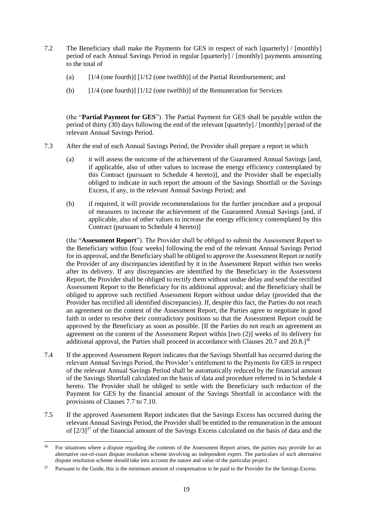- <span id="page-19-0"></span>7.2 The Beneficiary shall make the Payments for GES in respect of each [quarterly] / [monthly] period of each Annual Savings Period in regular [quarterly] / [monthly] payments amounting to the total of
	- (a) [1/4 (one fourth)] [1/12 (one twelfth)] of the Partial Reimbursement; and
	- (b) [1/4 (one fourth)] [1/12 (one twelfth)] of the Remuneration for Services

(the "**Partial Payment for GES**"). The Partial Payment for GES shall be payable within the period of thirty (30) days following the end of the relevant [quarterly] / [monthly] period of the relevant Annual Savings Period.

- <span id="page-19-1"></span>7.3 After the end of each Annual Savings Period, the Provider shall prepare a report in which
	- (a) it will assess the outcome of the achievement of the Guaranteed Annual Savings [and, if applicable, also of other values to increase the energy efficiency contemplated by this Contract (pursuant to Schedule 4 hereto)], and the Provider shall be especially obliged to indicate in such report the amount of the Savings Shortfall or the Savings Excess, if any, in the relevant Annual Savings Period; and
	- (b) if required, it will provide recommendations for the further procedure and a proposal of measures to increase the achievement of the Guaranteed Annual Savings [and, if applicable, also of other values to increase the energy efficiency contemplated by this Contract (pursuant to Schedule 4 hereto)]

(the "**Assessment Report**"). The Provider shall be obliged to submit the Assessment Report to the Beneficiary within [four weeks] following the end of the relevant Annual Savings Period for its approval, and the Beneficiary shall be obliged to approve the Assessment Report or notify the Provider of any discrepancies identified by it in the Assessment Report within two weeks after its delivery. If any discrepancies are identified by the Beneficiary in the Assessment Report, the Provider shall be obliged to rectify them without undue delay and send the rectified Assessment Report to the Beneficiary for its additional approval; and the Beneficiary shall be obliged to approve such rectified Assessment Report without undue delay (provided that the Provider has rectified all identified discrepancies). If, despite this fact, the Parties do not reach an agreement on the content of the Assessment Report, the Parties agree to negotiate in good faith in order to resolve their contradictory positions so that the Assessment Report could be approved by the Beneficiary as soon as possible. [If the Parties do not reach an agreement an agreement on the content of the Assessment Report within [two (2)] weeks of its delivery for additional approval, the Parties shall proceed in accordance with Clauses  $20.7$  and  $20.8$ .]<sup>36</sup>

- <span id="page-19-2"></span>7.4 If the approved Assessment Report indicates that the Savings Shortfall has occurred during the relevant Annual Savings Period, the Provider's entitlement to the Payments for GES in respect of the relevant Annual Savings Period shall be automatically reduced by the financial amount of the Savings Shortfall calculated on the basis of data and procedure referred to in Schedule 4 hereto. The Provider shall be obliged to settle with the Beneficiary such reduction of the Payment for GES by the financial amount of the Savings Shortfall in accordance with the provisions of Clauses [7.7](#page-20-1) to [7.10.](#page-22-1)
- <span id="page-19-3"></span>7.5 If the approved Assessment Report indicates that the Savings Excess has occurred during the relevant Annual Savings Period, the Provider shall be entitled to the remuneration in the amount of  $[2/3]^{37}$  of the financial amount of the Savings Excess calculated on the basis of data and the

<sup>1</sup> <sup>36</sup> For situations where a dispute regarding the contents of the Assessment Report arises, the parties may provide for an alternative out-of-court dispute resolution scheme involving an independent expert. The particulars of such alternative dispute resolution scheme should take into account the nature and value of the particular project.

<sup>&</sup>lt;sup>37</sup> Pursuant to the Guide, this is the minimum amount of compensation to be paid to the Provider for the Savings Excess.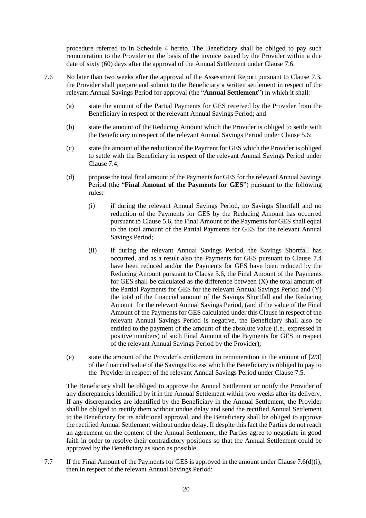procedure referred to in Schedule 4 hereto. The Beneficiary shall be obliged to pay such remuneration to the Provider on the basis of the invoice issued by the Provider within a due date of sixty (60) days after the approval of the Annual Settlement under Clause [7.6.](#page-20-0)

- <span id="page-20-2"></span><span id="page-20-0"></span>7.6 No later than two weeks after the approval of the Assessment Report pursuant to Clause [7.3,](#page-19-1) the Provider shall prepare and submit to the Beneficiary a written settlement in respect of the relevant Annual Savings Period for approval (the "**Annual Settlement**") in which it shall:
	- (a) state the amount of the Partial Payments for GES received by the Provider from the Beneficiary in respect of the relevant Annual Savings Period; and
	- (b) state the amount of the Reducing Amount which the Provider is obliged to settle with the Beneficiary in respect of the relevant Annual Savings Period under Clause [5.6;](#page-15-0)
	- (c) state the amount of the reduction of the Payment for GES which the Provider is obliged to settle with the Beneficiary in respect of the relevant Annual Savings Period under Claus[e 7.4;](#page-19-2)
	- (d) propose the total final amount of the Payments for GES for the relevant Annual Savings Period (the "**Final Amount of the Payments for GES**") pursuant to the following rules:
		- (i) if during the relevant Annual Savings Period, no Savings Shortfall and no reduction of the Payments for GES by the Reducing Amount has occurred pursuant to Clause [5.6,](#page-15-0) the Final Amount of the Payments for GES shall equal to the total amount of the Partial Payments for GES for the relevant Annual Savings Period;
		- (ii) if during the relevant Annual Savings Period, the Savings Shortfall has occurred, and as a result also the Payments for GES pursuant to Clause [7.4](#page-19-2) have been reduced and/or the Payments for GES have been reduced by the Reducing Amount pursuant to Clause [5.6,](#page-15-0) the Final Amount of the Payments for GES shall be calculated as the difference between (X) the total amount of the Partial Payments for GES for the relevant Annual Savings Period and (Y) the total of the financial amount of the Savings Shortfall and the Reducing Amount for the relevant Annual Savings Period, (and if the value of the Final Amount of the Payments for GES calculated under this Clause in respect of the relevant Annual Savings Period is negative, the Beneficiary shall also be entitled to the payment of the amount of the absolute value (i.e., expressed in positive numbers) of such Final Amount of the Payments for GES in respect of the relevant Annual Savings Period by the Provider);
	- (e) state the amount of the Provider's entitlement to remuneration in the amount of [2/3] of the financial value of the Savings Excess which the Beneficiary is obliged to pay to the Provider in respect of the relevant Annual Savings Period under Claus[e 7.5.](#page-19-3)

<span id="page-20-3"></span>The Beneficiary shall be obliged to approve the Annual Settlement or notify the Provider of any discrepancies identified by it in the Annual Settlement within two weeks after its delivery. If any discrepancies are identified by the Beneficiary in the Annual Settlement, the Provider shall be obliged to rectify them without undue delay and send the rectified Annual Settlement to the Beneficiary for its additional approval, and the Beneficiary shall be obliged to approve the rectified Annual Settlement without undue delay. If despite this fact the Parties do not reach an agreement on the content of the Annual Settlement, the Parties agree to negotiate in good faith in order to resolve their contradictory positions so that the Annual Settlement could be approved by the Beneficiary as soon as possible.

<span id="page-20-1"></span>7.7 If the Final Amount of the Payments for GES is approved in the amount under Claus[e 7.6\(d\)\(i\),](#page-20-2) then in respect of the relevant Annual Savings Period: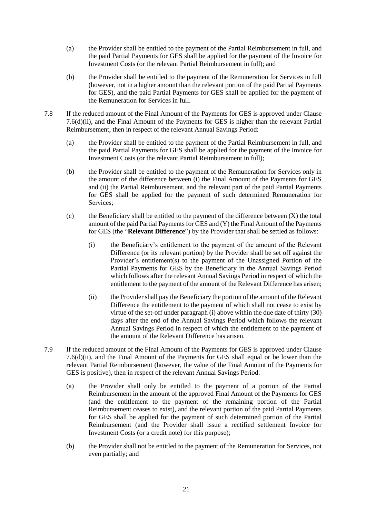- (a) the Provider shall be entitled to the payment of the Partial Reimbursement in full, and the paid Partial Payments for GES shall be applied for the payment of the Invoice for Investment Costs (or the relevant Partial Reimbursement in full); and
- (b) the Provider shall be entitled to the payment of the Remuneration for Services in full (however, not in a higher amount than the relevant portion of the paid Partial Payments for GES), and the paid Partial Payments for GES shall be applied for the payment of the Remuneration for Services in full.
- <span id="page-21-0"></span>7.8 If the reduced amount of the Final Amount of the Payments for GES is approved under Clause [7.6\(d\)\(ii\),](#page-20-3) and the Final Amount of the Payments for GES is higher than the relevant Partial Reimbursement, then in respect of the relevant Annual Savings Period:
	- (a) the Provider shall be entitled to the payment of the Partial Reimbursement in full, and the paid Partial Payments for GES shall be applied for the payment of the Invoice for Investment Costs (or the relevant Partial Reimbursement in full);
	- (b) the Provider shall be entitled to the payment of the Remuneration for Services only in the amount of the difference between (i) the Final Amount of the Payments for GES and (ii) the Partial Reimbursement, and the relevant part of the paid Partial Payments for GES shall be applied for the payment of such determined Remuneration for Services;
	- $(c)$  the Beneficiary shall be entitled to the payment of the difference between  $(X)$  the total amount of the paid Partial Payments for GES and (Y) the Final Amount of the Payments for GES (the "**Relevant Difference**") by the Provider that shall be settled as follows:
		- (i) the Beneficiary's entitlement to the payment of the amount of the Relevant Difference (or its relevant portion) by the Provider shall be set off against the Provider's entitlement(s) to the payment of the Unassigned Portion of the Partial Payments for GES by the Beneficiary in the Annual Savings Period which follows after the relevant Annual Savings Period in respect of which the entitlement to the payment of the amount of the Relevant Difference has arisen;
		- (ii) the Provider shall pay the Beneficiary the portion of the amount of the Relevant Difference the entitlement to the payment of which shall not cease to exist by virtue of the set-off under paragraph  $(i)$  above within the due date of thirty  $(30)$ days after the end of the Annual Savings Period which follows the relevant Annual Savings Period in respect of which the entitlement to the payment of the amount of the Relevant Difference has arisen.
- <span id="page-21-1"></span>7.9 If the reduced amount of the Final Amount of the Payments for GES is approved under Clause [7.6\(d\)\(ii\),](#page-20-3) and the Final Amount of the Payments for GES shall equal or be lower than the relevant Partial Reimbursement (however, the value of the Final Amount of the Payments for GES is positive), then in respect of the relevant Annual Savings Period:
	- (a) the Provider shall only be entitled to the payment of a portion of the Partial Reimbursement in the amount of the approved Final Amount of the Payments for GES (and the entitlement to the payment of the remaining portion of the Partial Reimbursement ceases to exist), and the relevant portion of the paid Partial Payments for GES shall be applied for the payment of such determined portion of the Partial Reimbursement (and the Provider shall issue a rectified settlement Invoice for Investment Costs (or a credit note) for this purpose);
	- (b) the Provider shall not be entitled to the payment of the Remuneration for Services, not even partially; and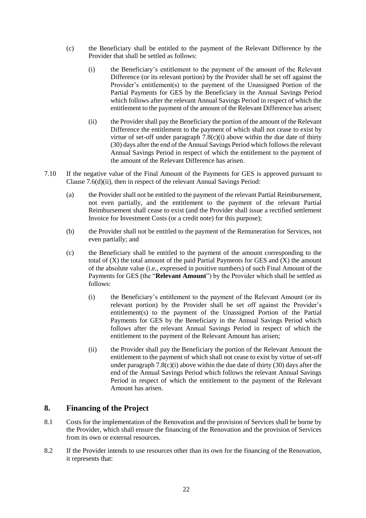- (c) the Beneficiary shall be entitled to the payment of the Relevant Difference by the Provider that shall be settled as follows:
	- (i) the Beneficiary's entitlement to the payment of the amount of the Relevant Difference (or its relevant portion) by the Provider shall be set off against the Provider's entitlement(s) to the payment of the Unassigned Portion of the Partial Payments for GES by the Beneficiary in the Annual Savings Period which follows after the relevant Annual Savings Period in respect of which the entitlement to the payment of the amount of the Relevant Difference has arisen;
	- (ii) the Provider shall pay the Beneficiary the portion of the amount of the Relevant Difference the entitlement to the payment of which shall not cease to exist by virtue of set-off under paragraph  $7.8(c)(i)$  above within the due date of thirty (30) days after the end of the Annual Savings Period which follows the relevant Annual Savings Period in respect of which the entitlement to the payment of the amount of the Relevant Difference has arisen.
- <span id="page-22-1"></span><span id="page-22-0"></span>7.10 If the negative value of the Final Amount of the Payments for GES is approved pursuant to Claus[e 7.6\(d\)\(ii\),](#page-20-3) then in respect of the relevant Annual Savings Period:
	- (a) the Provider shall not be entitled to the payment of the relevant Partial Reimbursement, not even partially, and the entitlement to the payment of the relevant Partial Reimbursement shall cease to exist (and the Provider shall issue a rectified settlement Invoice for Investment Costs (or a credit note) for this purpose);
	- (b) the Provider shall not be entitled to the payment of the Remuneration for Services, not even partially; and
	- (c) the Beneficiary shall be entitled to the payment of the amount corresponding to the total of  $(X)$  the total amount of the paid Partial Payments for GES and  $(X)$  the amount of the absolute value (i.e., expressed in positive numbers) of such Final Amount of the Payments for GES (the "**Relevant Amount**") by the Provider which shall be settled as follows:
		- (i) the Beneficiary's entitlement to the payment of the Relevant Amount (or its relevant portion) by the Provider shall be set off against the Provider's entitlement(s) to the payment of the Unassigned Portion of the Partial Payments for GES by the Beneficiary in the Annual Savings Period which follows after the relevant Annual Savings Period in respect of which the entitlement to the payment of the Relevant Amount has arisen;
		- (ii) the Provider shall pay the Beneficiary the portion of the Relevant Amount the entitlement to the payment of which shall not cease to exist by virtue of set-off under paragraph  $7.8(c)(i)$  above within the due date of thirty (30) days after the end of the Annual Savings Period which follows the relevant Annual Savings Period in respect of which the entitlement to the payment of the Relevant Amount has arisen.

# **8. Financing of the Project**

- 8.1 Costs for the implementation of the Renovation and the provision of Services shall be borne by the Provider, which shall ensure the financing of the Renovation and the provision of Services from its own or external resources.
- 8.2 If the Provider intends to use resources other than its own for the financing of the Renovation, it represents that: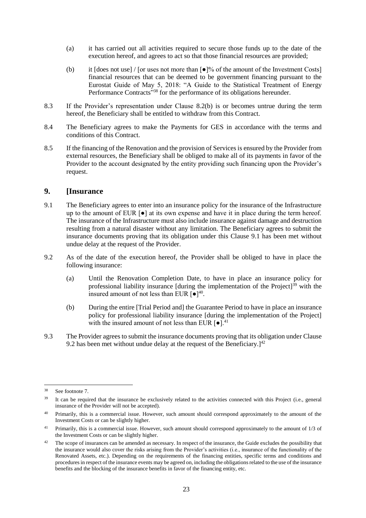- (a) it has carried out all activities required to secure those funds up to the date of the execution hereof, and agrees to act so that those financial resources are provided;
- <span id="page-23-0"></span>(b) it  $[does not use] / [or uses not more than  $\lceil \cdot \rceil$ % of the amount of the Investment Costs]$ financial resources that can be deemed to be government financing pursuant to the Eurostat Guide of May 5, 2018: "A Guide to the Statistical Treatment of Energy Performance Contracts"<sup>38</sup> for the performance of its obligations hereunder.
- 8.3 If the Provider's representation under Clause [8.2\(b\)](#page-23-0) is or becomes untrue during the term hereof, the Beneficiary shall be entitled to withdraw from this Contract.
- 8.4 The Beneficiary agrees to make the Payments for GES in accordance with the terms and conditions of this Contract.
- 8.5 If the financing of the Renovation and the provision of Services is ensured by the Provider from external resources, the Beneficiary shall be obliged to make all of its payments in favor of the Provider to the account designated by the entity providing such financing upon the Provider's request.

## **9. [Insurance**

- <span id="page-23-1"></span>9.1 The Beneficiary agrees to enter into an insurance policy for the insurance of the Infrastructure up to the amount of EUR  $\lceil \bullet \rceil$  at its own expense and have it in place during the term hereof. The insurance of the Infrastructure must also include insurance against damage and destruction resulting from a natural disaster without any limitation. The Beneficiary agrees to submit the insurance documents proving that its obligation under this Clause [9.1](#page-23-1) has been met without undue delay at the request of the Provider.
- <span id="page-23-2"></span>9.2 As of the date of the execution hereof, the Provider shall be obliged to have in place the following insurance:
	- (a) Until the Renovation Completion Date, to have in place an insurance policy for professional liability insurance  $\left[$  during the implementation of the Project $\right]$ <sup>39</sup> with the insured amount of not less than EUR  $\lceil \bullet \rceil^{40}$ .
	- (b) During the entire [Trial Period and] the Guarantee Period to have in place an insurance policy for professional liability insurance [during the implementation of the Project] with the insured amount of not less than EUR  $\lceil \bullet \rceil$ .<sup>41</sup>
- 9.3 The Provider agrees to submit the insurance documents proving that its obligation under Clause [9.2](#page-23-2) has been met without undue delay at the request of the Beneficiary.<sup>[42]</sup>

<sup>1</sup> <sup>38</sup> See footnote 7.

<sup>&</sup>lt;sup>39</sup> It can be required that the insurance be exclusively related to the activities connected with this Project (i.e., general insurance of the Provider will not be accepted).

<sup>40</sup> Primarily, this is a commercial issue. However, such amount should correspond approximately to the amount of the Investment Costs or can be slightly higher.

<sup>41</sup> Primarily, this is a commercial issue. However, such amount should correspond approximately to the amount of 1/3 of the Investment Costs or can be slightly higher.

 $42$  The scope of insurances can be amended as necessary. In respect of the insurance, the Guide excludes the possibility that the insurance would also cover the risks arising from the Provider's activities (i.e., insurance of the functionality of the Renovated Assets, etc.). Depending on the requirements of the financing entities, specific terms and conditions and procedures in respect of the insurance events may be agreed on, including the obligations related to the use of the insurance benefits and the blocking of the insurance benefits in favor of the financing entity, etc.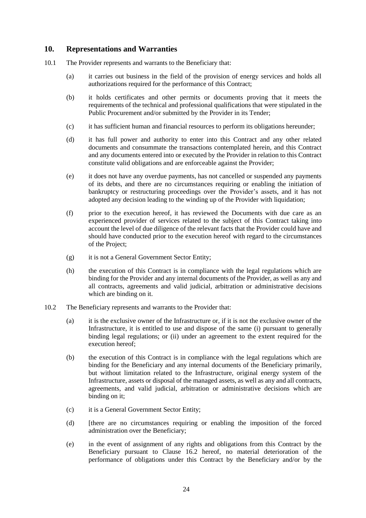## **10. Representations and Warranties**

- 10.1 The Provider represents and warrants to the Beneficiary that:
	- (a) it carries out business in the field of the provision of energy services and holds all authorizations required for the performance of this Contract;
	- (b) it holds certificates and other permits or documents proving that it meets the requirements of the technical and professional qualifications that were stipulated in the Public Procurement and/or submitted by the Provider in its Tender;
	- (c) it has sufficient human and financial resources to perform its obligations hereunder;
	- (d) it has full power and authority to enter into this Contract and any other related documents and consummate the transactions contemplated herein, and this Contract and any documents entered into or executed by the Provider in relation to this Contract constitute valid obligations and are enforceable against the Provider;
	- (e) it does not have any overdue payments, has not cancelled or suspended any payments of its debts, and there are no circumstances requiring or enabling the initiation of bankruptcy or restructuring proceedings over the Provider's assets, and it has not adopted any decision leading to the winding up of the Provider with liquidation;
	- (f) prior to the execution hereof, it has reviewed the Documents with due care as an experienced provider of services related to the subject of this Contract taking into account the level of due diligence of the relevant facts that the Provider could have and should have conducted prior to the execution hereof with regard to the circumstances of the Project;
	- (g) it is not a General Government Sector Entity;
	- (h) the execution of this Contract is in compliance with the legal regulations which are binding for the Provider and any internal documents of the Provider, as well as any and all contracts, agreements and valid judicial, arbitration or administrative decisions which are binding on it.
- 10.2 The Beneficiary represents and warrants to the Provider that:
	- (a) it is the exclusive owner of the Infrastructure or, if it is not the exclusive owner of the Infrastructure, it is entitled to use and dispose of the same (i) pursuant to generally binding legal regulations; or (ii) under an agreement to the extent required for the execution hereof;
	- (b) the execution of this Contract is in compliance with the legal regulations which are binding for the Beneficiary and any internal documents of the Beneficiary primarily, but without limitation related to the Infrastructure, original energy system of the Infrastructure, assets or disposal of the managed assets, as well as any and all contracts, agreements, and valid judicial, arbitration or administrative decisions which are binding on it;
	- (c) it is a General Government Sector Entity;
	- (d) [there are no circumstances requiring or enabling the imposition of the forced administration over the Beneficiary;
	- (e) in the event of assignment of any rights and obligations from this Contract by the Beneficiary pursuant to Clause 16.2 hereof, no material deterioration of the performance of obligations under this Contract by the Beneficiary and/or by the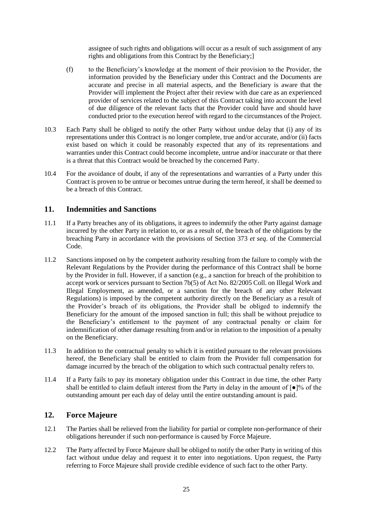assignee of such rights and obligations will occur as a result of such assignment of any rights and obligations from this Contract by the Beneficiary;]

- (f) to the Beneficiary's knowledge at the moment of their provision to the Provider, the information provided by the Beneficiary under this Contract and the Documents are accurate and precise in all material aspects, and the Beneficiary is aware that the Provider will implement the Project after their review with due care as an experienced provider of services related to the subject of this Contract taking into account the level of due diligence of the relevant facts that the Provider could have and should have conducted prior to the execution hereof with regard to the circumstances of the Project.
- 10.3 Each Party shall be obliged to notify the other Party without undue delay that (i) any of its representations under this Contract is no longer complete, true and/or accurate, and/or (ii) facts exist based on which it could be reasonably expected that any of its representations and warranties under this Contract could become incomplete, untrue and/or inaccurate or that there is a threat that this Contract would be breached by the concerned Party.
- <span id="page-25-0"></span>10.4 For the avoidance of doubt, if any of the representations and warranties of a Party under this Contract is proven to be untrue or becomes untrue during the term hereof, it shall be deemed to be a breach of this Contract.

## **11. Indemnities and Sanctions**

- 11.1 If a Party breaches any of its obligations, it agrees to indemnify the other Party against damage incurred by the other Party in relation to, or as a result of, the breach of the obligations by the breaching Party in accordance with the provisions of Section 373 *et seq*. of the Commercial Code.
- 11.2 Sanctions imposed on by the competent authority resulting from the failure to comply with the Relevant Regulations by the Provider during the performance of this Contract shall be borne by the Provider in full. However, if a sanction (e.g., a sanction for breach of the prohibition to accept work or services pursuant to Section 7b(5) of Act No. 82/2005 Coll. on Illegal Work and Illegal Employment, as amended, or a sanction for the breach of any other Relevant Regulations) is imposed by the competent authority directly on the Beneficiary as a result of the Provider's breach of its obligations, the Provider shall be obliged to indemnify the Beneficiary for the amount of the imposed sanction in full; this shall be without prejudice to the Beneficiary's entitlement to the payment of any contractual penalty or claim for indemnification of other damage resulting from and/or in relation to the imposition of a penalty on the Beneficiary.
- 11.3 In addition to the contractual penalty to which it is entitled pursuant to the relevant provisions hereof, the Beneficiary shall be entitled to claim from the Provider full compensation for damage incurred by the breach of the obligation to which such contractual penalty refers to.
- 11.4 If a Party fails to pay its monetary obligation under this Contract in due time, the other Party shall be entitled to claim default interest from the Party in delay in the amount of [●]% of the outstanding amount per each day of delay until the entire outstanding amount is paid.

#### **12. Force Majeure**

- 12.1 The Parties shall be relieved from the liability for partial or complete non-performance of their obligations hereunder if such non-performance is caused by Force Majeure.
- 12.2 The Party affected by Force Majeure shall be obliged to notify the other Party in writing of this fact without undue delay and request it to enter into negotiations. Upon request, the Party referring to Force Majeure shall provide credible evidence of such fact to the other Party.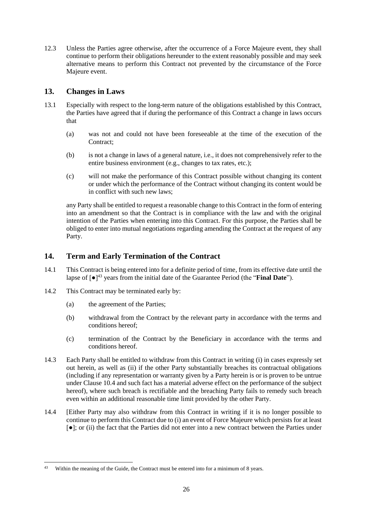12.3 Unless the Parties agree otherwise, after the occurrence of a Force Majeure event, they shall continue to perform their obligations hereunder to the extent reasonably possible and may seek alternative means to perform this Contract not prevented by the circumstance of the Force Majeure event.

# **13. Changes in Laws**

- <span id="page-26-1"></span>13.1 Especially with respect to the long-term nature of the obligations established by this Contract, the Parties have agreed that if during the performance of this Contract a change in laws occurs that
	- (a) was not and could not have been foreseeable at the time of the execution of the Contract;
	- (b) is not a change in laws of a general nature, i.e., it does not comprehensively refer to the entire business environment (e.g., changes to tax rates, etc.);
	- (c) will not make the performance of this Contract possible without changing its content or under which the performance of the Contract without changing its content would be in conflict with such new laws;

any Party shall be entitled to request a reasonable change to this Contract in the form of entering into an amendment so that the Contract is in compliance with the law and with the original intention of the Parties when entering into this Contract. For this purpose, the Parties shall be obliged to enter into mutual negotiations regarding amending the Contract at the request of any Party.

## <span id="page-26-4"></span>**14. Term and Early Termination of the Contract**

- <span id="page-26-0"></span>14.1 This Contract is being entered into for a definite period of time, from its effective date until the lapse of [●]<sup>43</sup> years from the initial date of the Guarantee Period (the "**Final Date**").
- 14.2 This Contract may be terminated early by:
	- (a) the agreement of the Parties;
	- (b) withdrawal from the Contract by the relevant party in accordance with the terms and conditions hereof;
	- (c) termination of the Contract by the Beneficiary in accordance with the terms and conditions hereof.
- <span id="page-26-2"></span>14.3 Each Party shall be entitled to withdraw from this Contract in writing (i) in cases expressly set out herein, as well as (ii) if the other Party substantially breaches its contractual obligations (including if any representation or warranty given by a Party herein is or is proven to be untrue under Clause [10.4](#page-25-0) and such fact has a material adverse effect on the performance of the subject hereof), where such breach is rectifiable and the breaching Party fails to remedy such breach even within an additional reasonable time limit provided by the other Party.
- <span id="page-26-3"></span>14.4 [Either Party may also withdraw from this Contract in writing if it is no longer possible to continue to perform this Contract due to (i) an event of Force Majeure which persists for at least [●]; or (ii) the fact that the Parties did not enter into a new contract between the Parties under

 $43$ Within the meaning of the Guide, the Contract must be entered into for a minimum of 8 years.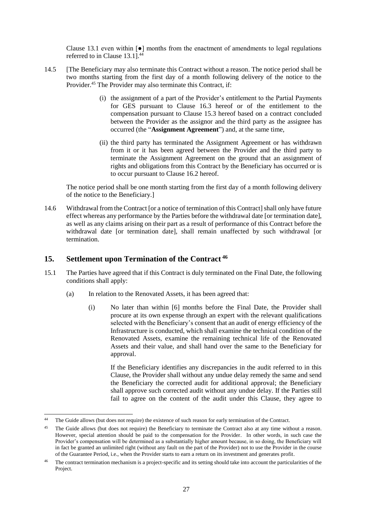Clause [13.1](#page-26-1) even within  $\lceil \bullet \rceil$  months from the enactment of amendments to legal regulations referred to in Clause [13.1\]](#page-26-1).<sup>44</sup>

- <span id="page-27-2"></span>14.5 [The Beneficiary may also terminate this Contract without a reason. The notice period shall be two months starting from the first day of a month following delivery of the notice to the Provider.<sup>45</sup> The Provider may also terminate this Contract, if:
	- (i) the assignment of a part of the Provider's entitlement to the Partial Payments for GES pursuant to Clause 16.3 hereof or of the entitlement to the compensation pursuant to Clause 15.3 hereof based on a contract concluded between the Provider as the assignor and the third party as the assignee has occurred (the "**Assignment Agreement**") and, at the same time,
	- (ii) the third party has terminated the Assignment Agreement or has withdrawn from it or it has been agreed between the Provider and the third party to terminate the Assignment Agreement on the ground that an assignment of rights and obligations from this Contract by the Beneficiary has occurred or is to occur pursuant to Clause 16.2 hereof.

The notice period shall be one month starting from the first day of a month following delivery of the notice to the Beneficiary.]

<span id="page-27-3"></span>14.6 Withdrawal from the Contract [or a notice of termination of this Contract] shall only have future effect whereas any performance by the Parties before the withdrawal date [or termination date], as well as any claims arising on their part as a result of performance of this Contract before the withdrawal date [or termination date], shall remain unaffected by such withdrawal [or termination.

## <span id="page-27-4"></span>**15. Settlement upon Termination of the Contract <sup>46</sup>**

-

- <span id="page-27-1"></span><span id="page-27-0"></span>15.1 The Parties have agreed that if this Contract is duly terminated on the Final Date, the following conditions shall apply:
	- (a) In relation to the Renovated Assets, it has been agreed that:
		- (i) No later than within [6] months before the Final Date, the Provider shall procure at its own expense through an expert with the relevant qualifications selected with the Beneficiary's consent that an audit of energy efficiency of the Infrastructure is conducted, which shall examine the technical condition of the Renovated Assets, examine the remaining technical life of the Renovated Assets and their value, and shall hand over the same to the Beneficiary for approval.

If the Beneficiary identifies any discrepancies in the audit referred to in this Clause, the Provider shall without any undue delay remedy the same and send the Beneficiary the corrected audit for additional approval; the Beneficiary shall approve such corrected audit without any undue delay. If the Parties still fail to agree on the content of the audit under this Clause, they agree to

<sup>&</sup>lt;sup>44</sup> The Guide allows (but does not require) the existence of such reason for early termination of the Contract.

<sup>&</sup>lt;sup>45</sup> The Guide allows (but does not require) the Beneficiary to terminate the Contract also at any time without a reason. However, special attention should be paid to the compensation for the Provider. In other words, in such case the Provider's compensation will be determined as a substantially higher amount because, in so doing, the Beneficiary will in fact be granted an unlimited right (without any fault on the part of the Provider) not to use the Provider in the course of the Guarantee Period, i.e., when the Provider starts to earn a return on its investment and generates profit.

<sup>46</sup> The contract termination mechanism is a project-specific and its setting should take into account the particularities of the Project.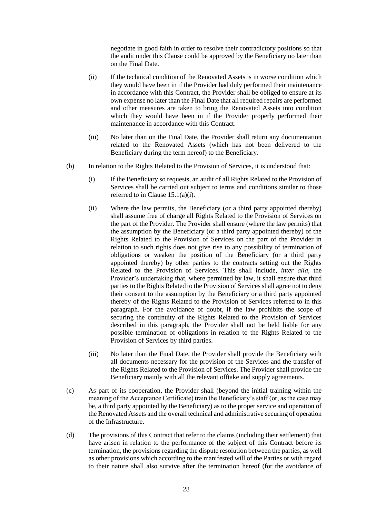negotiate in good faith in order to resolve their contradictory positions so that the audit under this Clause could be approved by the Beneficiary no later than on the Final Date.

- (ii) If the technical condition of the Renovated Assets is in worse condition which they would have been in if the Provider had duly performed their maintenance in accordance with this Contract, the Provider shall be obliged to ensure at its own expense no later than the Final Date that all required repairs are performed and other measures are taken to bring the Renovated Assets into condition which they would have been in if the Provider properly performed their maintenance in accordance with this Contract.
- (iii) No later than on the Final Date, the Provider shall return any documentation related to the Renovated Assets (which has not been delivered to the Beneficiary during the term hereof) to the Beneficiary.
- (b) In relation to the Rights Related to the Provision of Services, it is understood that:
	- (i) If the Beneficiary so requests, an audit of all Rights Related to the Provision of Services shall be carried out subject to terms and conditions similar to those referred to in Clause [15.1\(a\)\(i\).](#page-27-0)
	- (ii) Where the law permits, the Beneficiary (or a third party appointed thereby) shall assume free of charge all Rights Related to the Provision of Services on the part of the Provider. The Provider shall ensure (where the law permits) that the assumption by the Beneficiary (or a third party appointed thereby) of the Rights Related to the Provision of Services on the part of the Provider in relation to such rights does not give rise to any possibility of termination of obligations or weaken the position of the Beneficiary (or a third party appointed thereby) by other parties to the contracts setting out the Rights Related to the Provision of Services. This shall include, *inter alia*, the Provider's undertaking that, where permitted by law, it shall ensure that third parties to the Rights Related to the Provision of Services shall agree not to deny their consent to the assumption by the Beneficiary or a third party appointed thereby of the Rights Related to the Provision of Services referred to in this paragraph. For the avoidance of doubt, if the law prohibits the scope of securing the continuity of the Rights Related to the Provision of Services described in this paragraph, the Provider shall not be held liable for any possible termination of obligations in relation to the Rights Related to the Provision of Services by third parties.
	- (iii) No later than the Final Date, the Provider shall provide the Beneficiary with all documents necessary for the provision of the Services and the transfer of the Rights Related to the Provision of Services. The Provider shall provide the Beneficiary mainly with all the relevant offtake and supply agreements.
- (c) As part of its cooperation, the Provider shall (beyond the initial training within the meaning of the Acceptance Certificate) train the Beneficiary's staff (or, as the case may be, a third party appointed by the Beneficiary) as to the proper service and operation of the Renovated Assets and the overall technical and administrative securing of operation of the Infrastructure.
- (d) The provisions of this Contract that refer to the claims (including their settlement) that have arisen in relation to the performance of the subject of this Contract before its termination, the provisions regarding the dispute resolution between the parties, as well as other provisions which according to the manifested will of the Parties or with regard to their nature shall also survive after the termination hereof (for the avoidance of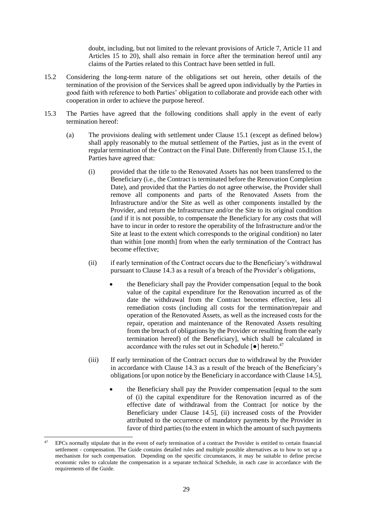doubt, including, but not limited to the relevant provisions of Article 7, Article 11 and Articles 15 to 20), shall also remain in force after the termination hereof until any claims of the Parties related to this Contract have been settled in full.

- 15.2 Considering the long-term nature of the obligations set out herein, other details of the termination of the provision of the Services shall be agreed upon individually by the Parties in good faith with reference to both Parties' obligation to collaborate and provide each other with cooperation in order to achieve the purpose hereof.
- <span id="page-29-0"></span>15.3 The Parties have agreed that the following conditions shall apply in the event of early termination hereof:
	- (a) The provisions dealing with settlement under Clause [15.1](#page-27-1) (except as defined below) shall apply reasonably to the mutual settlement of the Parties, just as in the event of regular termination of the Contract on the Final Date. Differently from Claus[e 15.1,](#page-27-1) the Parties have agreed that:
		- (i) provided that the title to the Renovated Assets has not been transferred to the Beneficiary (i.e., the Contract is terminated before the Renovation Completion Date), and provided that the Parties do not agree otherwise, the Provider shall remove all components and parts of the Renovated Assets from the Infrastructure and/or the Site as well as other components installed by the Provider, and return the Infrastructure and/or the Site to its original condition (and if it is not possible, to compensate the Beneficiary for any costs that will have to incur in order to restore the operability of the Infrastructure and/or the Site at least to the extent which corresponds to the original condition) no later than within [one month] from when the early termination of the Contract has become effective;
		- (ii) if early termination of the Contract occurs due to the Beneficiary's withdrawal pursuant to Clause [14.3](#page-26-2) as a result of a breach of the Provider's obligations,
			- the Beneficiary shall pay the Provider compensation [equal to the book value of the capital expenditure for the Renovation incurred as of the date the withdrawal from the Contract becomes effective, less all remediation costs (including all costs for the termination/repair and operation of the Renovated Assets, as well as the increased costs for the repair, operation and maintenance of the Renovated Assets resulting from the breach of obligations by the Provider or resulting from the early termination hereof) of the Beneficiary], which shall be calculated in accordance with the rules set out in Schedule [●] hereto. 47
		- (iii) If early termination of the Contract occurs due to withdrawal by the Provider in accordance with Clause [14.3](#page-26-2) as a result of the breach of the Beneficiary's obligations [or upon notice by the Beneficiary in accordance with Clause [14.5\]](#page-27-2),
			- the Beneficiary shall pay the Provider compensation [equal to the sum of (i) the capital expenditure for the Renovation incurred as of the effective date of withdrawal from the Contract [or notice by the Beneficiary under Clause [14.5\]](#page-27-2), (ii) increased costs of the Provider attributed to the occurrence of mandatory payments by the Provider in favor of third parties (to the extent in which the amount of such payments

<sup>47</sup> EPCs normally stipulate that in the event of early termination of a contract the Provider is entitled to certain financial settlement - compensation. The Guide contains detailed rules and multiple possible alternatives as to how to set up a mechanism for such compensation. Depending on the specific circumstances, it may be suitable to define precise economic rules to calculate the compensation in a separate technical Schedule, in each case in accordance with the requirements of the Guide.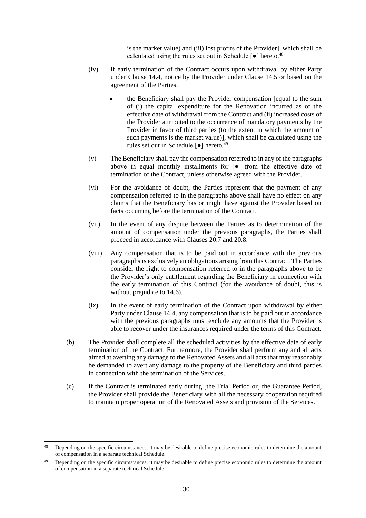is the market value) and (iii) lost profits of the Provider], which shall be calculated using the rules set out in Schedule [●] hereto. 48

- (iv) If early termination of the Contract occurs upon withdrawal by either Party under Clause [14.4,](#page-26-3) notice by the Provider under Clause 14.5 or based on the agreement of the Parties,
	- the Beneficiary shall pay the Provider compensation [equal to the sum of (i) the capital expenditure for the Renovation incurred as of the effective date of withdrawal from the Contract and (ii) increased costs of the Provider attributed to the occurrence of mandatory payments by the Provider in favor of third parties (to the extent in which the amount of such payments is the market value)], which shall be calculated using the rules set out in Schedule [●] hereto. 49
- (v) The Beneficiary shall pay the compensation referred to in any of the paragraphs above in equal monthly installments for [●] from the effective date of termination of the Contract, unless otherwise agreed with the Provider.
- (vi) For the avoidance of doubt, the Parties represent that the payment of any compensation referred to in the paragraphs above shall have no effect on any claims that the Beneficiary has or might have against the Provider based on facts occurring before the termination of the Contract.
- (vii) In the event of any dispute between the Parties as to determination of the amount of compensation under the previous paragraphs, the Parties shall proceed in accordance with Clauses [20.7](#page-34-0) and [20.8.](#page-34-1)
- (viii) Any compensation that is to be paid out in accordance with the previous paragraphs is exclusively an obligations arising from this Contract. The Parties consider the right to compensation referred to in the paragraphs above to be the Provider's only entitlement regarding the Beneficiary in connection with the early termination of this Contract (for the avoidance of doubt, this is without prejudice to [14.6\)](#page-27-3).
- (ix) In the event of early termination of the Contract upon withdrawal by either Party under Claus[e 14.4,](#page-26-3) any compensation that is to be paid out in accordance with the previous paragraphs must exclude any amounts that the Provider is able to recover under the insurances required under the terms of this Contract.
- (b) The Provider shall complete all the scheduled activities by the effective date of early termination of the Contract. Furthermore, the Provider shall perform any and all acts aimed at averting any damage to the Renovated Assets and all acts that may reasonably be demanded to avert any damage to the property of the Beneficiary and third parties in connection with the termination of the Services.
- (c) If the Contract is terminated early during [the Trial Period or] the Guarantee Period, the Provider shall provide the Beneficiary with all the necessary cooperation required to maintain proper operation of the Renovated Assets and provision of the Services.

<sup>&</sup>lt;sup>48</sup> Depending on the specific circumstances, it may be desirable to define precise economic rules to determine the amount of compensation in a separate technical Schedule.

Depending on the specific circumstances, it may be desirable to define precise economic rules to determine the amount of compensation in a separate technical Schedule.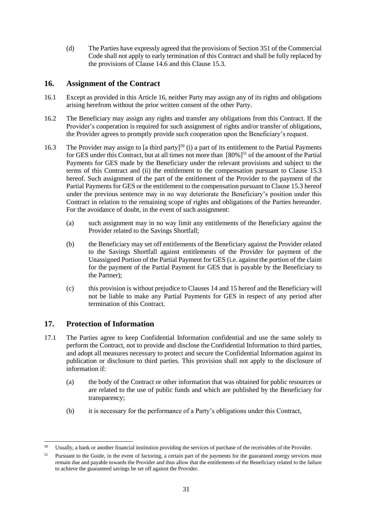(d) The Parties have expressly agreed that the provisions of Section 351 of the Commercial Code shall not apply to early termination of this Contract and shall be fully replaced by the provisions of Clause [14.6](#page-27-3) and this Clause [15.3.](#page-29-0)

## <span id="page-31-1"></span>**16. Assignment of the Contract**

- 16.1 Except as provided in this Articl[e 16,](#page-31-1) neither Party may assign any of its rights and obligations arising herefrom without the prior written consent of the other Party.
- 16.2 The Beneficiary may assign any rights and transfer any obligations from this Contract. If the Provider's cooperation is required for such assignment of rights and/or transfer of obligations, the Provider agrees to promptly provide such cooperation upon the Beneficiary's request.
- <span id="page-31-0"></span>16.3 The Provider may assign to [a third party]<sup>50</sup> (i) a part of its entitlement to the Partial Payments for GES under this Contract, but at all times not more than  $[80\%]^{51}$  of the amount of the Partial Payments for GES made by the Beneficiary under the relevant provisions and subject to the terms of this Contract and (ii) the entitlement to the compensation pursuant to Clause [15.3](#page-29-0) hereof. Such assignment of the part of the entitlement of the Provider to the payment of the Partial Payments for GES or the entitlement to the compensation pursuant to Clause [15.3](#page-29-0) hereof under the previous sentence may in no way deteriorate the Beneficiary's position under this Contract in relation to the remaining scope of rights and obligations of the Parties hereunder. For the avoidance of doubt, in the event of such assignment:
	- (a) such assignment may in no way limit any entitlements of the Beneficiary against the Provider related to the Savings Shortfall;
	- (b) the Beneficiary may set off entitlements of the Beneficiary against the Provider related to the Savings Shortfall against entitlements of the Provider for payment of the Unassigned Portion of the Partial Payment for GES (i.e. against the portion of the claim for the payment of the Partial Payment for GES that is payable by the Beneficiary to the Partner);
	- (c) this provision is without prejudice to Clauses [14](#page-26-4) an[d 15](#page-27-4) hereof and the Beneficiary will not be liable to make any Partial Payments for GES in respect of any period after termination of this Contract.

## **17. Protection of Information**

- <span id="page-31-2"></span>17.1 The Parties agree to keep Confidential Information confidential and use the same solely to perform the Contract, not to provide and disclose the Confidential Information to third parties, and adopt all measures necessary to protect and secure the Confidential Information against its publication or disclosure to third parties. This provision shall not apply to the disclosure of information if:
	- (a) the body of the Contract or other information that was obtained for public resources or are related to the use of public funds and which are published by the Beneficiary for transparency;
	- (b) it is necessary for the performance of a Party's obligations under this Contract,

<sup>50</sup> Usually, a bank or another financial institution providing the services of purchase of the receivables of the Provider.

<sup>&</sup>lt;sup>51</sup> Pursuant to the Guide, in the event of factoring, a certain part of the payments for the guaranteed energy services must remain due and payable towards the Provider and thus allow that the entitlements of the Beneficiary related to the failure to achieve the guaranteed savings be set off against the Provider.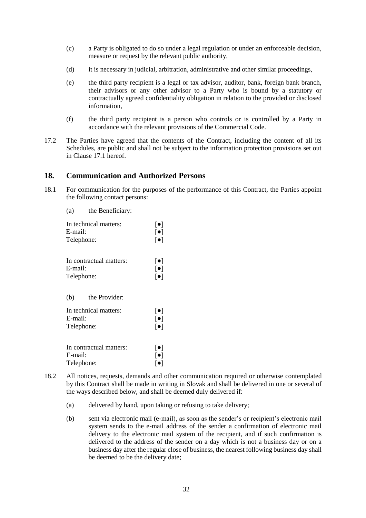- (c) a Party is obligated to do so under a legal regulation or under an enforceable decision, measure or request by the relevant public authority,
- (d) it is necessary in judicial, arbitration, administrative and other similar proceedings,
- (e) the third party recipient is a legal or tax advisor, auditor, bank, foreign bank branch, their advisors or any other advisor to a Party who is bound by a statutory or contractually agreed confidentiality obligation in relation to the provided or disclosed information,
- (f) the third party recipient is a person who controls or is controlled by a Party in accordance with the relevant provisions of the Commercial Code.
- 17.2 The Parties have agreed that the contents of the Contract, including the content of all its Schedules, are public and shall not be subject to the information protection provisions set out in Clause [17.1](#page-31-2) hereof.

#### **18. Communication and Authorized Persons**

- <span id="page-32-0"></span>18.1 For communication for the purposes of the performance of this Contract, the Parties appoint the following contact persons:
	- (a) the Beneficiary:

| In technical matters:                                                  | $\lceil \bullet \rceil$                                                       |
|------------------------------------------------------------------------|-------------------------------------------------------------------------------|
| E-mail:                                                                | $\lceil \bullet \rceil$                                                       |
| Telephone:                                                             | $\lceil \bullet \rceil$                                                       |
| In contractual matters:                                                | $\lceil \bullet \rceil$                                                       |
| E-mail:                                                                | $\lceil \bullet \rceil$                                                       |
| Telephone:                                                             | $\lceil \bullet \rceil$                                                       |
| (b)<br>the Provider:<br>In technical matters:<br>E-mail:<br>Telephone: | $\lceil \bullet \rceil$<br>$\lceil \bullet \rceil$<br>$\lceil \bullet \rceil$ |
| In contractual matters:                                                | $\lceil \bullet \rceil$                                                       |
| E-mail:                                                                | $\lceil \bullet \rceil$                                                       |
| Telephone:                                                             | $\lceil\bullet\rceil$                                                         |

- 18.2 All notices, requests, demands and other communication required or otherwise contemplated by this Contract shall be made in writing in Slovak and shall be delivered in one or several of the ways described below, and shall be deemed duly delivered if:
	- (a) delivered by hand, upon taking or refusing to take delivery;
	- (b) sent via electronic mail (e-mail), as soon as the sender's or recipient's electronic mail system sends to the e-mail address of the sender a confirmation of electronic mail delivery to the electronic mail system of the recipient, and if such confirmation is delivered to the address of the sender on a day which is not a business day or on a business day after the regular close of business, the nearest following business day shall be deemed to be the delivery date;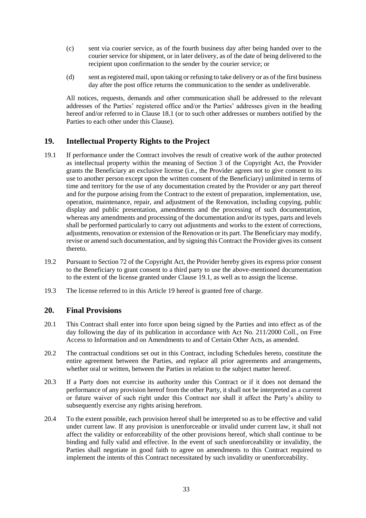- (c) sent via courier service, as of the fourth business day after being handed over to the courier service for shipment, or in later delivery, as of the date of being delivered to the recipient upon confirmation to the sender by the courier service; or
- (d) sent as registered mail, upon taking or refusing to take delivery or as of the first business day after the post office returns the communication to the sender as undeliverable.

All notices, requests, demands and other communication shall be addressed to the relevant addresses of the Parties' registered office and/or the Parties' addresses given in the heading hereof and/or referred to in Clause [18.1](#page-32-0) (or to such other addresses or numbers notified by the Parties to each other under this Clause).

## <span id="page-33-1"></span>**19. Intellectual Property Rights to the Project**

- <span id="page-33-0"></span>19.1 If performance under the Contract involves the result of creative work of the author protected as intellectual property within the meaning of Section 3 of the Copyright Act, the Provider grants the Beneficiary an exclusive license (i.e., the Provider agrees not to give consent to its use to another person except upon the written consent of the Beneficiary) unlimited in terms of time and territory for the use of any documentation created by the Provider or any part thereof and for the purpose arising from the Contract to the extent of preparation, implementation, use, operation, maintenance, repair, and adjustment of the Renovation, including copying, public display and public presentation, amendments and the processing of such documentation, whereas any amendments and processing of the documentation and/or its types, parts and levels shall be performed particularly to carry out adjustments and works to the extent of corrections, adjustments, renovation or extension of the Renovation or its part. The Beneficiary may modify, revise or amend such documentation, and by signing this Contract the Provider gives its consent thereto.
- 19.2 Pursuant to Section 72 of the Copyright Act, the Provider hereby gives its express prior consent to the Beneficiary to grant consent to a third party to use the above-mentioned documentation to the extent of the license granted under Clause [19.1,](#page-33-0) as well as to assign the license.
- 19.3 The license referred to in this Article [19](#page-33-1) hereof is granted free of charge.

#### **20. Final Provisions**

- 20.1 This Contract shall enter into force upon being signed by the Parties and into effect as of the day following the day of its publication in accordance with Act No. 211/2000 Coll., on Free Access to Information and on Amendments to and of Certain Other Acts, as amended.
- 20.2 The contractual conditions set out in this Contract, including Schedules hereto, constitute the entire agreement between the Parties, and replace all prior agreements and arrangements, whether oral or written, between the Parties in relation to the subject matter hereof.
- 20.3 If a Party does not exercise its authority under this Contract or if it does not demand the performance of any provision hereof from the other Party, it shall not be interpreted as a current or future waiver of such right under this Contract nor shall it affect the Party's ability to subsequently exercise any rights arising herefrom.
- 20.4 To the extent possible, each provision hereof shall be interpreted so as to be effective and valid under current law. If any provision is unenforceable or invalid under current law, it shall not affect the validity or enforceability of the other provisions hereof, which shall continue to be binding and fully valid and effective. In the event of such unenforceability or invalidity, the Parties shall negotiate in good faith to agree on amendments to this Contract required to implement the intents of this Contract necessitated by such invalidity or unenforceability.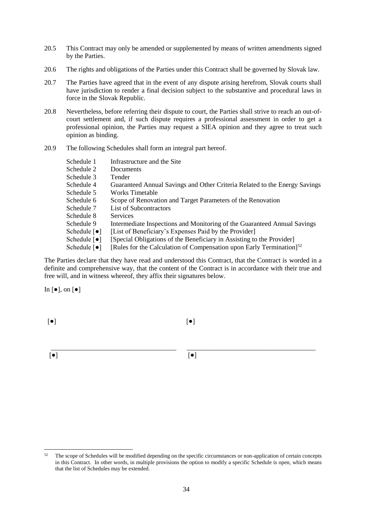- 20.5 This Contract may only be amended or supplemented by means of written amendments signed by the Parties.
- 20.6 The rights and obligations of the Parties under this Contract shall be governed by Slovak law.
- <span id="page-34-0"></span>20.7 The Parties have agreed that in the event of any dispute arising herefrom, Slovak courts shall have jurisdiction to render a final decision subject to the substantive and procedural laws in force in the Slovak Republic.
- <span id="page-34-1"></span>20.8 Nevertheless, before referring their dispute to court, the Parties shall strive to reach an out-ofcourt settlement and, if such dispute requires a professional assessment in order to get a professional opinion, the Parties may request a SIEA opinion and they agree to treat such opinion as binding.
- 20.9 The following Schedules shall form an integral part hereof.

| Schedule 1                       | Infrastructure and the Site.                                               |
|----------------------------------|----------------------------------------------------------------------------|
| Schedule 2                       | Documents                                                                  |
| Schedule 3                       | Tender                                                                     |
| Schedule 4                       | Guaranteed Annual Savings and Other Criteria Related to the Energy Savings |
| Schedule 5                       | Works Timetable                                                            |
| Schedule 6                       | Scope of Renovation and Target Parameters of the Renovation                |
| Schedule 7                       | List of Subcontractors                                                     |
| Schedule 8                       | <b>Services</b>                                                            |
| Schedule 9                       | Intermediate Inspections and Monitoring of the Guaranteed Annual Savings   |
| Schedule $\lceil \bullet \rceil$ | [List of Beneficiary's Expenses Paid by the Provider]                      |
| Schedule $\lceil \bullet \rceil$ | [Special Obligations of the Beneficiary in Assisting to the Provider]      |
| Schedule $\lceil \bullet \rceil$ | [Rules for the Calculation of Compensation upon Early Termination] $52$    |

The Parties declare that they have read and understood this Contract, that the Contract is worded in a definite and comprehensive way, that the content of the Contract is in accordance with their true and free will, and in witness whereof, they affix their signatures below.

#### In  $\lceil \bullet \rceil$ , on  $\lceil \bullet \rceil$

 $\lceil \bullet \rceil$ 

[●]

[●]

\_\_\_\_\_\_\_\_\_\_\_\_\_\_\_\_\_\_\_\_\_\_\_\_\_\_\_\_\_\_\_\_\_\_\_\_\_

[●]

\_\_\_\_\_\_\_\_\_\_\_\_\_\_\_\_\_\_\_\_\_\_\_\_\_\_\_\_\_\_\_\_\_\_\_\_\_\_

 $52$ <sup>52</sup> The scope of Schedules will be modified depending on the specific circumstances or non-application of certain concepts in this Contract. In other words, in multiple provisions the option to modify a specific Schedule is open, which means that the list of Schedules may be extended.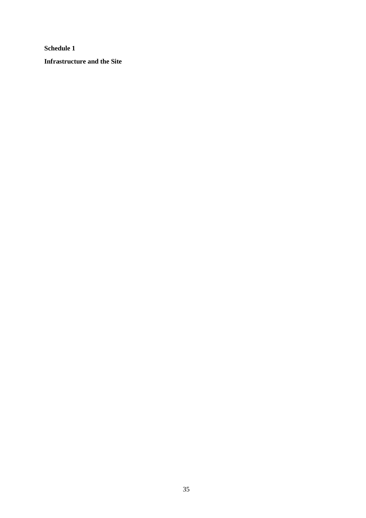**Infrastructure and the Site**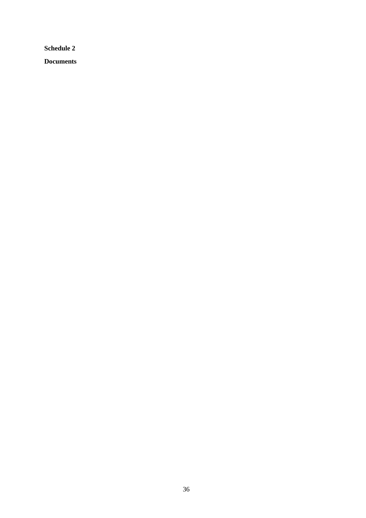**Documents**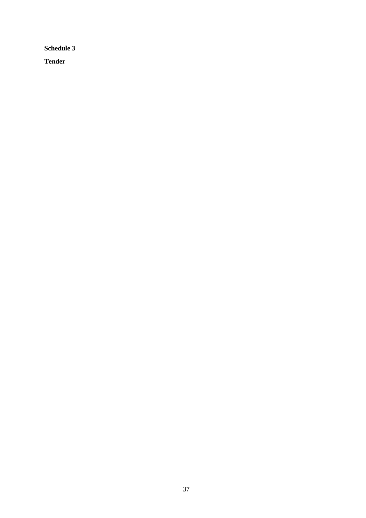**Tender**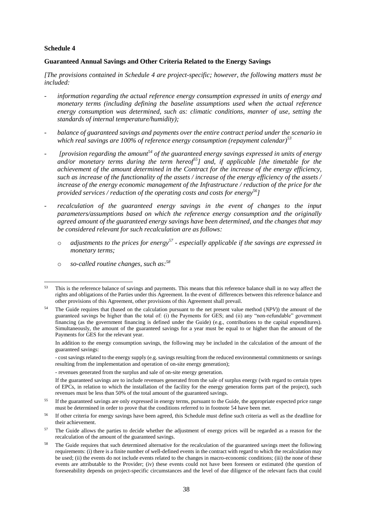#### **Guaranteed Annual Savings and Other Criteria Related to the Energy Savings**

*[The provisions contained in Schedule 4 are project-specific; however, the following matters must be included:*

- information regarding the actual reference energy consumption expressed in units of energy and *monetary terms (including defining the baseline assumptions used when the actual reference energy consumption was determined, such as: climatic conditions, manner of use, setting the standards of internal temperature/humidity);*
- *balance of guaranteed savings and payments over the entire contract period under the scenario in which real savings are 100% of reference energy consumption (repayment calendar)<sup>53</sup>*
- *[provision regarding the amount<sup>54</sup> of the guaranteed energy savings expressed in units of energy and/or monetary terms during the term hereof<sup>55</sup>] and, if applicable [the timetable for the achievement of the amount determined in the Contract for the increase of the energy efficiency, such as increase of the functionality of the assets / increase of the energy efficiency of the assets / increase of the energy economic management of the Infrastructure / reduction of the price for the provided services / reduction of the operating costs and costs for energy<sup>56</sup>]*
- recalculation of the guaranteed energy savings in the event of changes to the input *parameters/assumptions based on which the reference energy consumption and the originally agreed amount of the guaranteed energy savings have been determined, and the changes that may be considered relevant for such recalculation are as follows:*
	- o *adjustments to the prices for energy<sup>57</sup> - especially applicable if the savings are expressed in monetary terms;*
	- o *so-called routine changes, such as:<sup>58</sup>*

In addition to the energy consumption savings, the following may be included in the calculation of the amount of the guaranteed savings:

- cost savings related to the energy supply (e.g. savings resulting from the reduced environmental commitments or savings resulting from the implementation and operation of on-site energy generation);

- revenues generated from the surplus and sale of on-site energy generation.

<sup>58</sup> The Guide requires that such determined alternative for the recalculation of the guaranteed savings meet the following requirements: (i) there is a finite number of well-defined events in the contract with regard to which the recalculation may be used; (ii) the events do not include events related to the changes in macro-economic conditions; (iii) the none of these events are attributable to the Provider; (iv) these events could not have been foreseen or estimated (the question of foreseeability depends on project-specific circumstances and the level of due diligence of the relevant facts that could

 $53$ <sup>53</sup> This is the reference balance of savings and payments. This means that this reference balance shall in no way affect the rights and obligations of the Parties under this Agreement. In the event of differences between this reference balance and other provisions of this Agreement, other provisions of this Agreement shall prevail.

<sup>54</sup> The Guide requires that (based on the calculation pursuant to the net present value method (*NPV*)) the amount of the guaranteed savings be higher than the total of: (i) the Payments for GES; and (ii) any "non-refundable" government financing (as the government financing is defined under the Guide) (e.g., contributions to the capital expenditures). Simultaneously, the amount of the guaranteed savings for a year must be equal to or higher than the amount of the Payments for GES for the relevant year.

If the guaranteed savings are to include revenues generated from the sale of surplus energy (with regard to certain types of EPCs, in relation to which the installation of the facility for the energy generation forms part of the project), such revenues must be less than 50% of the total amount of the guaranteed savings.

<sup>&</sup>lt;sup>55</sup> If the guaranteed savings are only expressed in energy terms, pursuant to the Guide, the appropriate expected price range must be determined in order to prove that the conditions referred to in footnote 54 have been met.

<sup>&</sup>lt;sup>56</sup> If other criteria for energy savings have been agreed, this Schedule must define such criteria as well as the deadline for their achievement.

<sup>&</sup>lt;sup>57</sup> The Guide allows the parties to decide whether the adjustment of energy prices will be regarded as a reason for the recalculation of the amount of the guaranteed savings.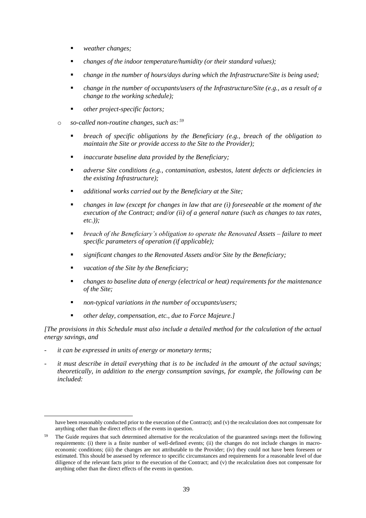- *weather changes;*
- *changes of the indoor temperature/humidity (or their standard values);*
- *change in the number of hours/days during which the Infrastructure/Site is being used;*
- *change in the number of occupants/users of the Infrastructure/Site (e.g., as a result of a change to the working schedule);*
- *other project-specific factors;*
- o *so-called non-routine changes, such as: <sup>59</sup>*
	- *breach of specific obligations by the Beneficiary (e.g., breach of the obligation to maintain the Site or provide access to the Site to the Provider);*
	- *inaccurate baseline data provided by the Beneficiary;*
	- *adverse Site conditions (e.g., contamination, asbestos, latent defects or deficiencies in the existing Infrastructure);*
	- *additional works carried out by the Beneficiary at the Site;*
	- *changes in law (except for changes in law that are (i) foreseeable at the moment of the execution of the Contract; and/or (ii) of a general nature (such as changes to tax rates, etc.));*
	- *breach of the Beneficiary's obligation to operate the Renovated Assets – failure to meet specific parameters of operation (if applicable);*
	- *significant changes to the Renovated Assets and/or Site by the Beneficiary;*
	- *vacation of the Site by the Beneficiary;*
	- *changes to baseline data of energy (electrical or heat) requirements for the maintenance of the Site;*
	- *non-typical variations in the number of occupants/users;*
	- *other delay, compensation, etc., due to Force Majeure.]*

*[The provisions in this Schedule must also include a detailed method for the calculation of the actual energy savings, and* 

it can be expressed in units of energy or monetary terms;

-

it must describe in detail everything that is to be included in the amount of the actual savings; *theoretically, in addition to the energy consumption savings, for example, the following can be included:* 

have been reasonably conducted prior to the execution of the Contract); and (v) the recalculation does not compensate for anything other than the direct effects of the events in question.

<sup>&</sup>lt;sup>59</sup> The Guide requires that such determined alternative for the recalculation of the guaranteed savings meet the following requirements: (i) there is a finite number of well-defined events; (ii) the changes do not include changes in macroeconomic conditions; (iii) the changes are not attributable to the Provider; (iv) they could not have been foreseen or estimated. This should be assessed by reference to specific circumstances and requirements for a reasonable level of due diligence of the relevant facts prior to the execution of the Contract; and (v) the recalculation does not compensate for anything other than the direct effects of the events in question.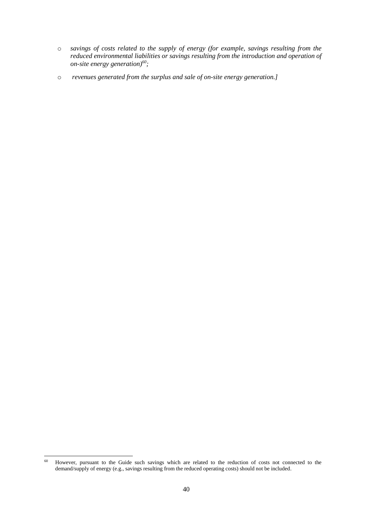- o *savings of costs related to the supply of energy (for example, savings resulting from the reduced environmental liabilities or savings resulting from the introduction and operation of on-site energy generation)<sup>60</sup>;*
- o *revenues generated from the surplus and sale of on-site energy generation.]*

 $60\,$ <sup>60</sup> However, pursuant to the Guide such savings which are related to the reduction of costs not connected to the demand/supply of energy (e.g., savings resulting from the reduced operating costs) should not be included.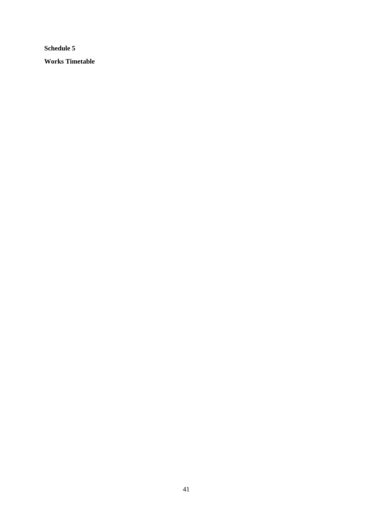**Schedule 5 Works Timetable**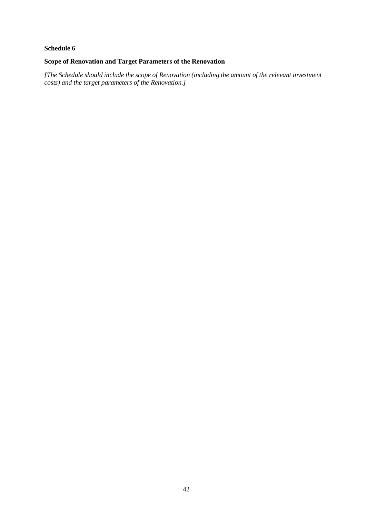#### **Scope of Renovation and Target Parameters of the Renovation**

*[The Schedule should include the scope of Renovation (including the amount of the relevant investment costs) and the target parameters of the Renovation.]*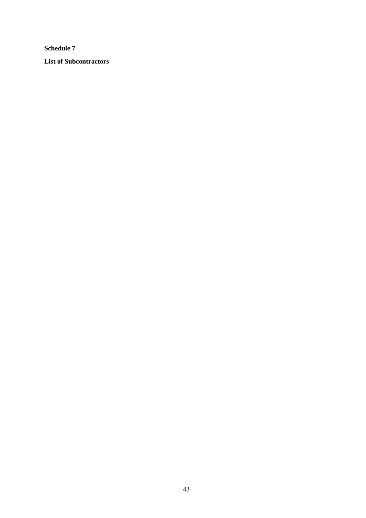**List of Subcontractors**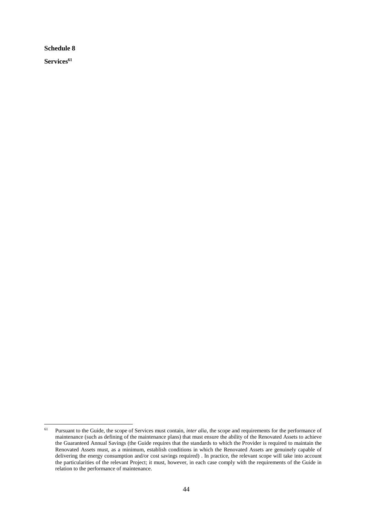**Services<sup>61</sup>**

<sup>61</sup> Pursuant to the Guide, the scope of Services must contain, *inter alia*, the scope and requirements for the performance of maintenance (such as defining of the maintenance plans) that must ensure the ability of the Renovated Assets to achieve the Guaranteed Annual Savings (the Guide requires that the standards to which the Provider is required to maintain the Renovated Assets must, as a minimum, establish conditions in which the Renovated Assets are genuinely capable of delivering the energy consumption and/or cost savings required) . In practice, the relevant scope will take into account the particularities of the relevant Project; it must, however, in each case comply with the requirements of the Guide in relation to the performance of maintenance.